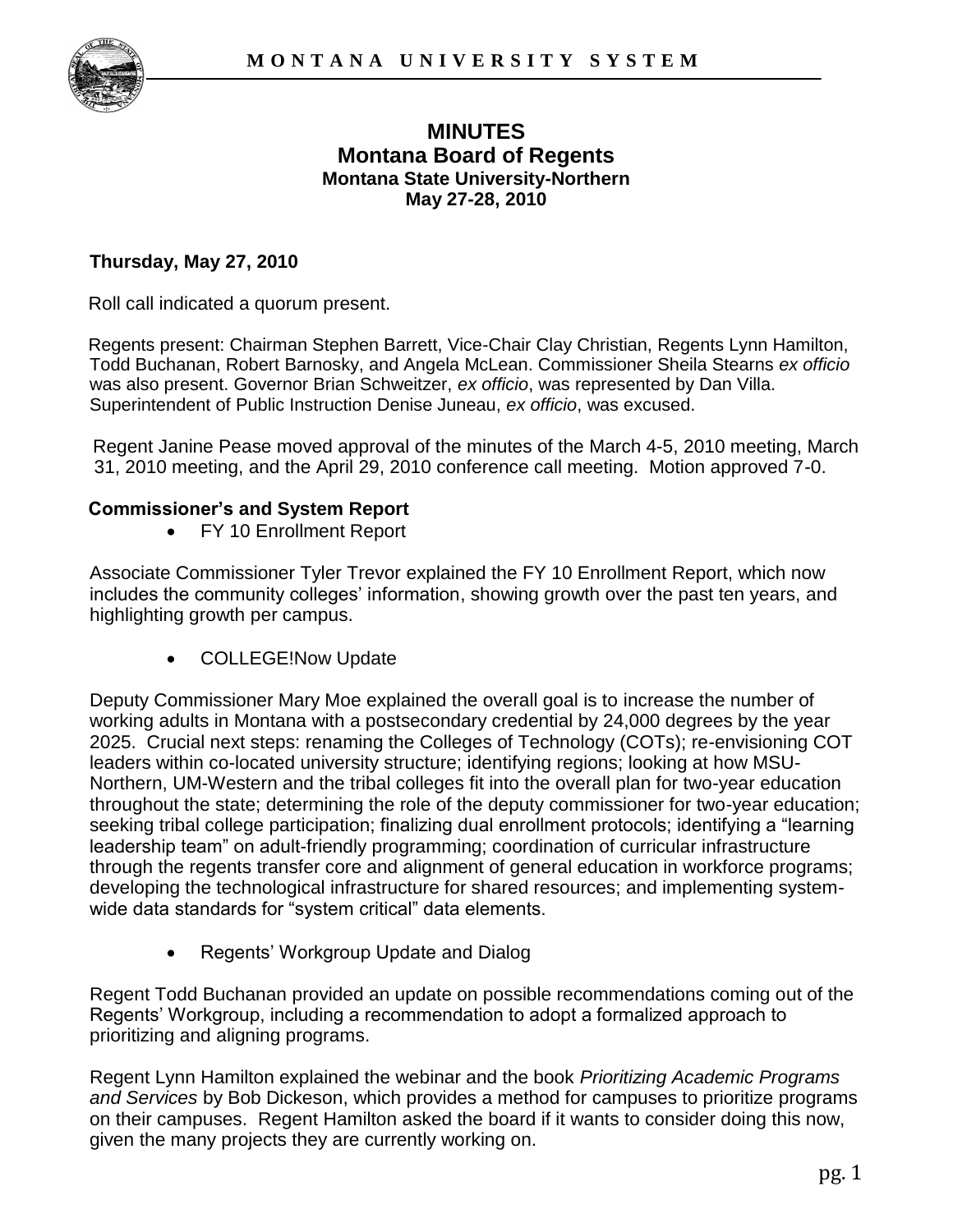

# **MINUTES Montana Board of Regents Montana State University-Northern May 27-28, 2010**

### **Thursday, May 27, 2010**

Roll call indicated a quorum present.

Regents present: Chairman Stephen Barrett, Vice-Chair Clay Christian, Regents Lynn Hamilton, Todd Buchanan, Robert Barnosky, and Angela McLean. Commissioner Sheila Stearns *ex officio*  was also present. Governor Brian Schweitzer, *ex officio*, was represented by Dan Villa. Superintendent of Public Instruction Denise Juneau, *ex officio*, was excused.

Regent Janine Pease moved approval of the minutes of the March 4-5, 2010 meeting, March 31, 2010 meeting, and the April 29, 2010 conference call meeting. Motion approved 7-0.

#### **Commissioner's and System Report**

FY 10 Enrollment Report

Associate Commissioner Tyler Trevor explained the FY 10 Enrollment Report, which now includes the community colleges' information, showing growth over the past ten years, and highlighting growth per campus.

COLLEGE!Now Update

Deputy Commissioner Mary Moe explained the overall goal is to increase the number of working adults in Montana with a postsecondary credential by 24,000 degrees by the year 2025. Crucial next steps: renaming the Colleges of Technology (COTs); re-envisioning COT leaders within co-located university structure; identifying regions; looking at how MSU-Northern, UM-Western and the tribal colleges fit into the overall plan for two-year education throughout the state; determining the role of the deputy commissioner for two-year education; seeking tribal college participation; finalizing dual enrollment protocols; identifying a "learning leadership team" on adult-friendly programming; coordination of curricular infrastructure through the regents transfer core and alignment of general education in workforce programs; developing the technological infrastructure for shared resources; and implementing systemwide data standards for "system critical" data elements.

Regents" Workgroup Update and Dialog

Regent Todd Buchanan provided an update on possible recommendations coming out of the Regents" Workgroup, including a recommendation to adopt a formalized approach to prioritizing and aligning programs.

Regent Lynn Hamilton explained the webinar and the book *Prioritizing Academic Programs and Services* by Bob Dickeson, which provides a method for campuses to prioritize programs on their campuses. Regent Hamilton asked the board if it wants to consider doing this now, given the many projects they are currently working on.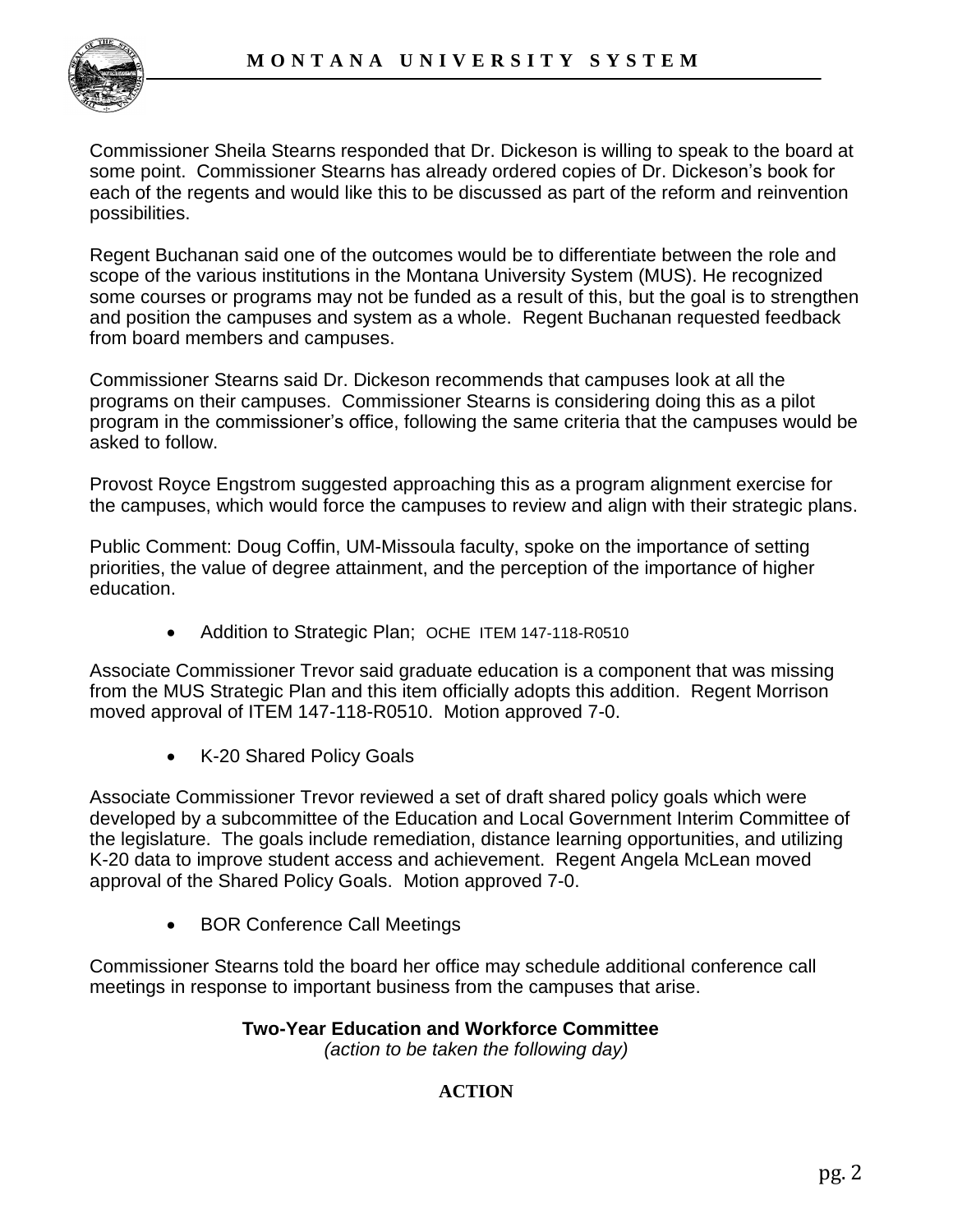

Commissioner Sheila Stearns responded that Dr. Dickeson is willing to speak to the board at some point. Commissioner Stearns has already ordered copies of Dr. Dickeson"s book for each of the regents and would like this to be discussed as part of the reform and reinvention possibilities.

Regent Buchanan said one of the outcomes would be to differentiate between the role and scope of the various institutions in the Montana University System (MUS). He recognized some courses or programs may not be funded as a result of this, but the goal is to strengthen and position the campuses and system as a whole. Regent Buchanan requested feedback from board members and campuses.

Commissioner Stearns said Dr. Dickeson recommends that campuses look at all the programs on their campuses. Commissioner Stearns is considering doing this as a pilot program in the commissioner"s office, following the same criteria that the campuses would be asked to follow.

Provost Royce Engstrom suggested approaching this as a program alignment exercise for the campuses, which would force the campuses to review and align with their strategic plans.

Public Comment: Doug Coffin, UM-Missoula faculty, spoke on the importance of setting priorities, the value of degree attainment, and the perception of the importance of higher education.

• Addition to Strategic Plan; OCHE ITEM 147-118-R0510

Associate Commissioner Trevor said graduate education is a component that was missing from the MUS Strategic Plan and this item officially adopts this addition. Regent Morrison moved approval of ITEM 147-118-R0510. Motion approved 7-0.

• K-20 Shared Policy Goals

Associate Commissioner Trevor reviewed a set of draft shared policy goals which were developed by a subcommittee of the Education and Local Government Interim Committee of the legislature. The goals include remediation, distance learning opportunities, and utilizing K-20 data to improve student access and achievement. Regent Angela McLean moved approval of the Shared Policy Goals. Motion approved 7-0.

BOR Conference Call Meetings

Commissioner Stearns told the board her office may schedule additional conference call meetings in response to important business from the campuses that arise.

#### **Two-Year Education and Workforce Committee**

*(action to be taken the following day)*

## **ACTION**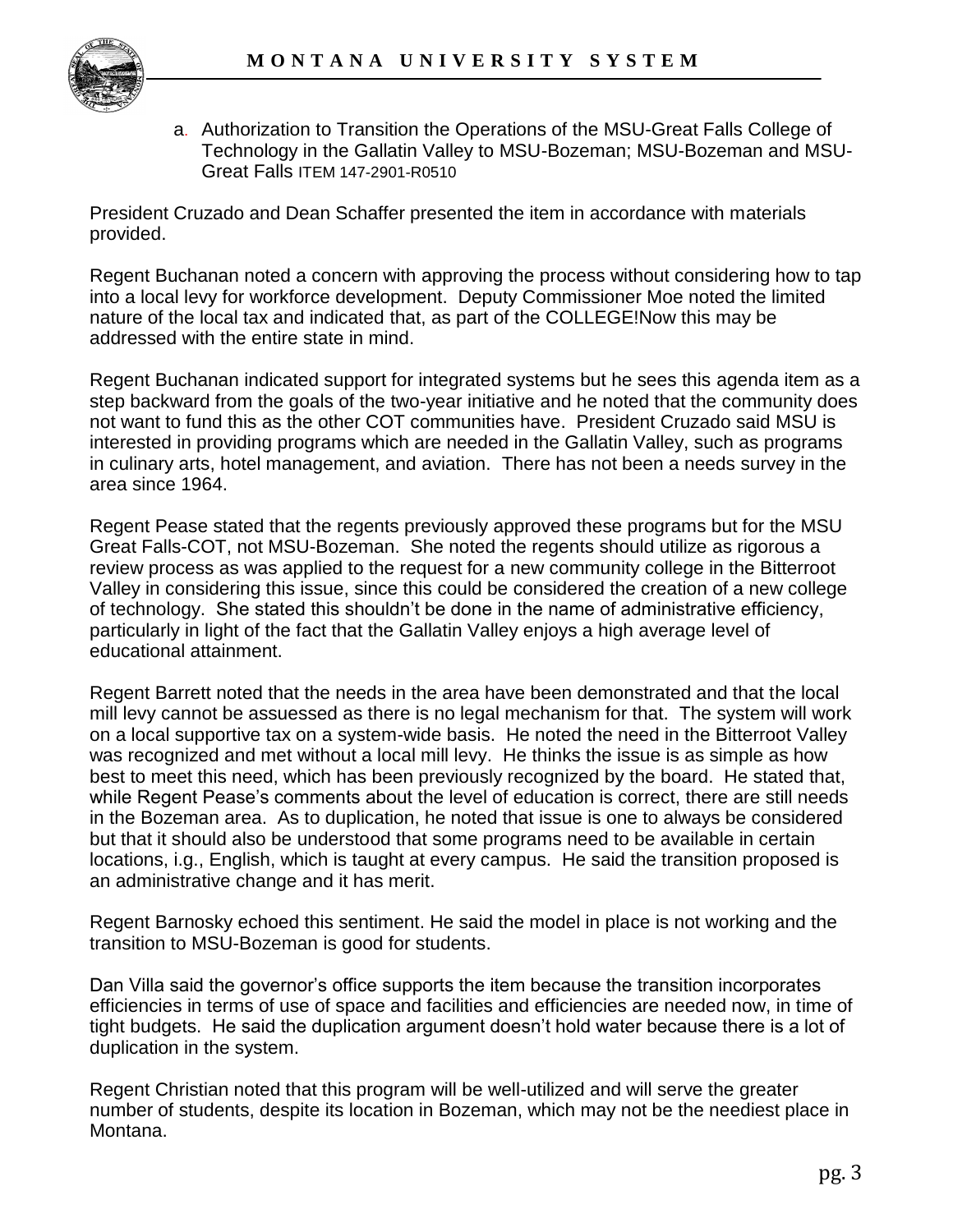

a. Authorization to Transition the Operations of the MSU-Great Falls College of Technology in the Gallatin Valley to MSU-Bozeman; MSU-Bozeman and MSU-Great Falls ITEM 147-2901-R0510

President Cruzado and Dean Schaffer presented the item in accordance with materials provided.

Regent Buchanan noted a concern with approving the process without considering how to tap into a local levy for workforce development. Deputy Commissioner Moe noted the limited nature of the local tax and indicated that, as part of the COLLEGE!Now this may be addressed with the entire state in mind.

Regent Buchanan indicated support for integrated systems but he sees this agenda item as a step backward from the goals of the two-year initiative and he noted that the community does not want to fund this as the other COT communities have. President Cruzado said MSU is interested in providing programs which are needed in the Gallatin Valley, such as programs in culinary arts, hotel management, and aviation. There has not been a needs survey in the area since 1964.

Regent Pease stated that the regents previously approved these programs but for the MSU Great Falls-COT, not MSU-Bozeman. She noted the regents should utilize as rigorous a review process as was applied to the request for a new community college in the Bitterroot Valley in considering this issue, since this could be considered the creation of a new college of technology. She stated this shouldn"t be done in the name of administrative efficiency, particularly in light of the fact that the Gallatin Valley enjoys a high average level of educational attainment.

Regent Barrett noted that the needs in the area have been demonstrated and that the local mill levy cannot be assuessed as there is no legal mechanism for that. The system will work on a local supportive tax on a system-wide basis. He noted the need in the Bitterroot Valley was recognized and met without a local mill levy. He thinks the issue is as simple as how best to meet this need, which has been previously recognized by the board. He stated that, while Regent Pease's comments about the level of education is correct, there are still needs in the Bozeman area. As to duplication, he noted that issue is one to always be considered but that it should also be understood that some programs need to be available in certain locations, i.g., English, which is taught at every campus. He said the transition proposed is an administrative change and it has merit.

Regent Barnosky echoed this sentiment. He said the model in place is not working and the transition to MSU-Bozeman is good for students.

Dan Villa said the governor"s office supports the item because the transition incorporates efficiencies in terms of use of space and facilities and efficiencies are needed now, in time of tight budgets. He said the duplication argument doesn"t hold water because there is a lot of duplication in the system.

Regent Christian noted that this program will be well-utilized and will serve the greater number of students, despite its location in Bozeman, which may not be the neediest place in Montana.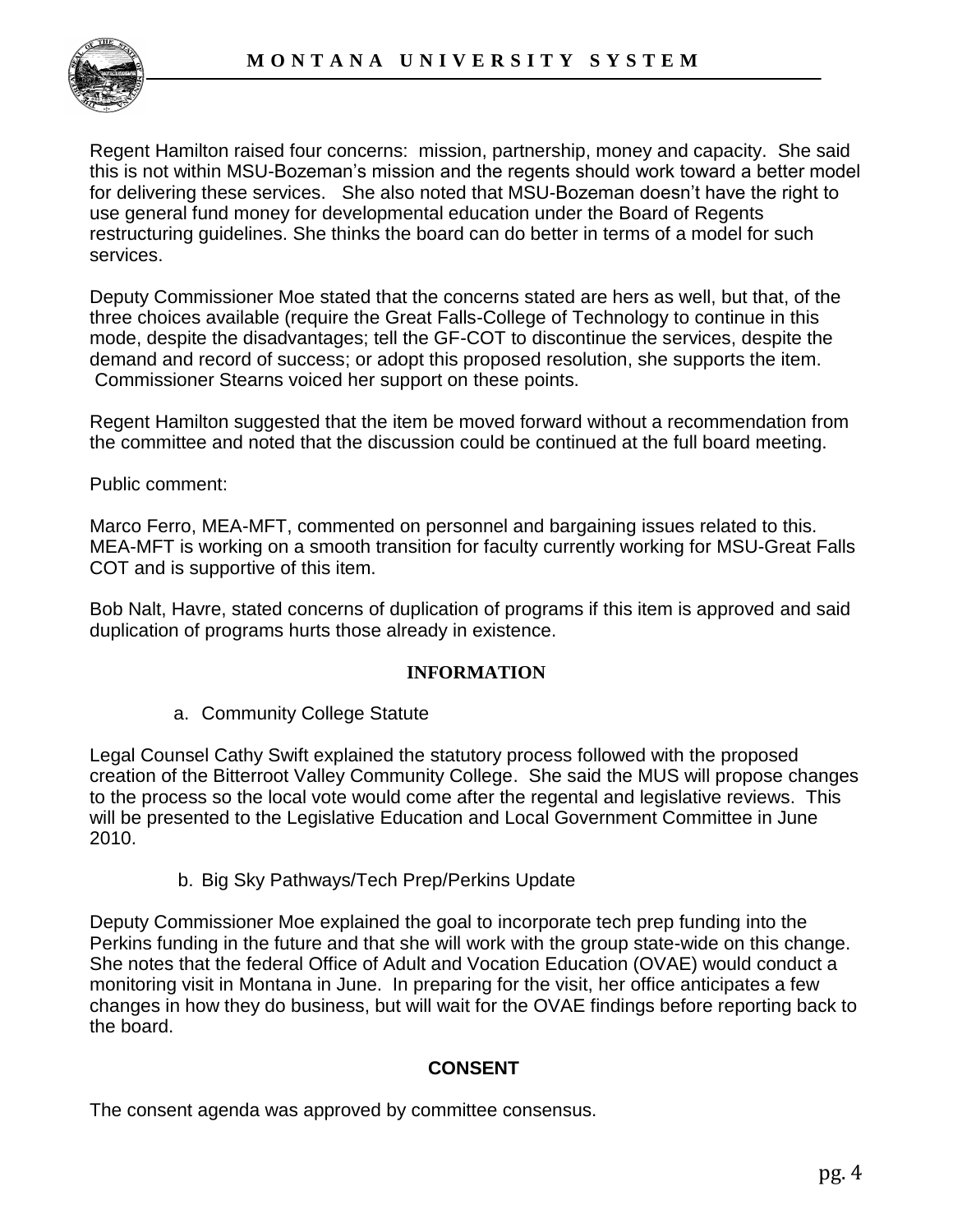

Regent Hamilton raised four concerns: mission, partnership, money and capacity. She said this is not within MSU-Bozeman"s mission and the regents should work toward a better model for delivering these services. She also noted that MSU-Bozeman doesn"t have the right to use general fund money for developmental education under the Board of Regents restructuring guidelines. She thinks the board can do better in terms of a model for such services.

Deputy Commissioner Moe stated that the concerns stated are hers as well, but that, of the three choices available (require the Great Falls-College of Technology to continue in this mode, despite the disadvantages; tell the GF-COT to discontinue the services, despite the demand and record of success; or adopt this proposed resolution, she supports the item. Commissioner Stearns voiced her support on these points.

Regent Hamilton suggested that the item be moved forward without a recommendation from the committee and noted that the discussion could be continued at the full board meeting.

Public comment:

Marco Ferro, MEA-MFT, commented on personnel and bargaining issues related to this. MEA-MFT is working on a smooth transition for faculty currently working for MSU-Great Falls COT and is supportive of this item.

Bob Nalt, Havre, stated concerns of duplication of programs if this item is approved and said duplication of programs hurts those already in existence.

#### **INFORMATION**

a. Community College Statute

Legal Counsel Cathy Swift explained the statutory process followed with the proposed creation of the Bitterroot Valley Community College. She said the MUS will propose changes to the process so the local vote would come after the regental and legislative reviews. This will be presented to the Legislative Education and Local Government Committee in June 2010.

b. Big Sky Pathways/Tech Prep/Perkins Update

Deputy Commissioner Moe explained the goal to incorporate tech prep funding into the Perkins funding in the future and that she will work with the group state-wide on this change. She notes that the federal Office of Adult and Vocation Education (OVAE) would conduct a monitoring visit in Montana in June. In preparing for the visit, her office anticipates a few changes in how they do business, but will wait for the OVAE findings before reporting back to the board.

#### **CONSENT**

The consent agenda was approved by committee consensus.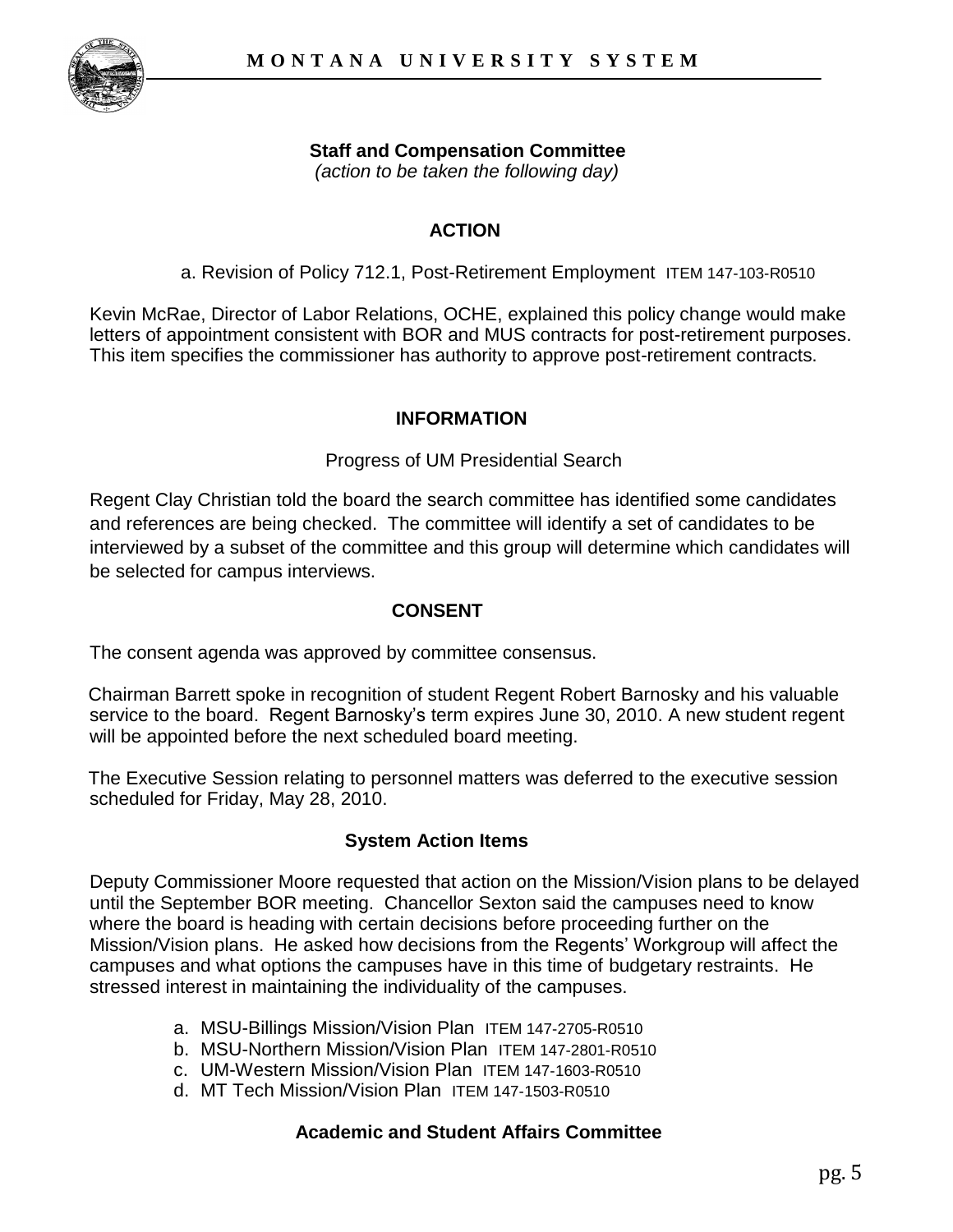

# **Staff and Compensation Committee**

 *(action to be taken the following day)*

# **ACTION**

a. Revision of Policy 712.1, Post-Retirement Employment ITEM 147-103-R0510

Kevin McRae, Director of Labor Relations, OCHE, explained this policy change would make letters of appointment consistent with BOR and MUS contracts for post-retirement purposes. This item specifies the commissioner has authority to approve post-retirement contracts.

### **INFORMATION**

#### Progress of UM Presidential Search

Regent Clay Christian told the board the search committee has identified some candidates and references are being checked. The committee will identify a set of candidates to be interviewed by a subset of the committee and this group will determine which candidates will be selected for campus interviews.

### **CONSENT**

The consent agenda was approved by committee consensus.

Chairman Barrett spoke in recognition of student Regent Robert Barnosky and his valuable service to the board. Regent Barnosky's term expires June 30, 2010. A new student regent will be appointed before the next scheduled board meeting.

The Executive Session relating to personnel matters was deferred to the executive session scheduled for Friday, May 28, 2010.

## **System Action Items**

Deputy Commissioner Moore requested that action on the Mission/Vision plans to be delayed until the September BOR meeting. Chancellor Sexton said the campuses need to know where the board is heading with certain decisions before proceeding further on the Mission/Vision plans. He asked how decisions from the Regents' Workgroup will affect the campuses and what options the campuses have in this time of budgetary restraints. He stressed interest in maintaining the individuality of the campuses.

- a. MSU-Billings Mission/Vision Plan ITEM 147-2705-R0510
- b. MSU-Northern Mission/Vision Plan ITEM 147-2801-R0510
- c. UM-Western Mission/Vision Plan ITEM 147-1603-R0510
- d. MT Tech Mission/Vision Plan ITEM 147-1503-R0510

## **Academic and Student Affairs Committee**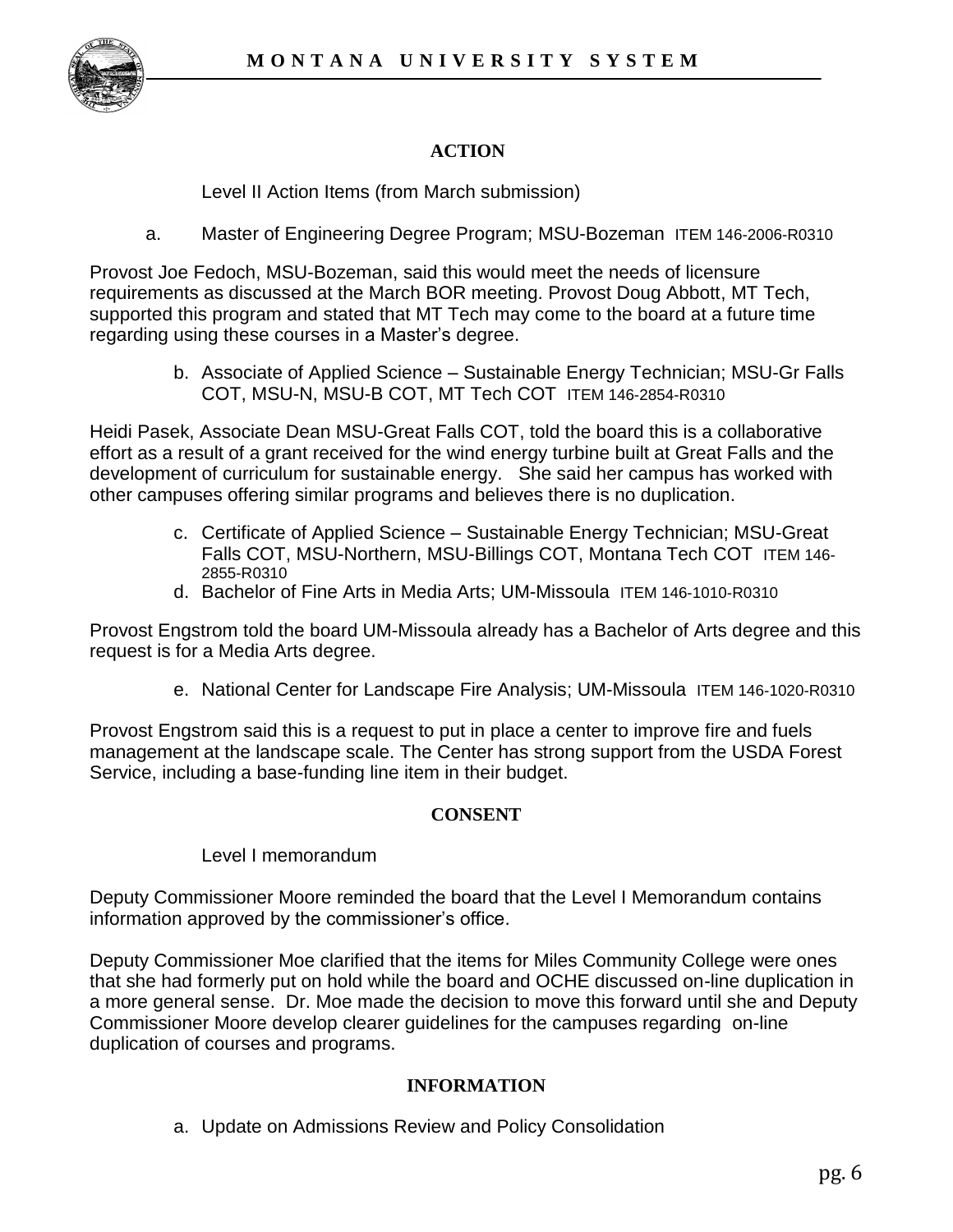

# **ACTION**

Level II Action Items (from March submission)

a. Master of Engineering Degree Program; MSU-Bozeman ITEM 146-2006-R0310

Provost Joe Fedoch, MSU-Bozeman, said this would meet the needs of licensure requirements as discussed at the March BOR meeting. Provost Doug Abbott, MT Tech, supported this program and stated that MT Tech may come to the board at a future time regarding using these courses in a Master's degree.

> b. Associate of Applied Science – Sustainable Energy Technician; MSU-Gr Falls COT, MSU-N, MSU-B COT, MT Tech COT ITEM 146-2854-R0310

Heidi Pasek, Associate Dean MSU-Great Falls COT, told the board this is a collaborative effort as a result of a grant received for the wind energy turbine built at Great Falls and the development of curriculum for sustainable energy. She said her campus has worked with other campuses offering similar programs and believes there is no duplication.

- c. Certificate of Applied Science Sustainable Energy Technician; MSU-Great Falls COT, MSU-Northern, MSU-Billings COT, Montana Tech COT ITEM 146- 2855-R0310
- d. Bachelor of Fine Arts in Media Arts; UM-Missoula ITEM 146-1010-R0310

Provost Engstrom told the board UM-Missoula already has a Bachelor of Arts degree and this request is for a Media Arts degree.

e. National Center for Landscape Fire Analysis; UM-Missoula ITEM 146-1020-R0310

Provost Engstrom said this is a request to put in place a center to improve fire and fuels management at the landscape scale. The Center has strong support from the USDA Forest Service, including a base-funding line item in their budget.

#### **CONSENT**

#### Level I memorandum

Deputy Commissioner Moore reminded the board that the Level I Memorandum contains information approved by the commissioner's office.

Deputy Commissioner Moe clarified that the items for Miles Community College were ones that she had formerly put on hold while the board and OCHE discussed on-line duplication in a more general sense. Dr. Moe made the decision to move this forward until she and Deputy Commissioner Moore develop clearer guidelines for the campuses regarding on-line duplication of courses and programs.

#### **INFORMATION**

a. Update on Admissions Review and Policy Consolidation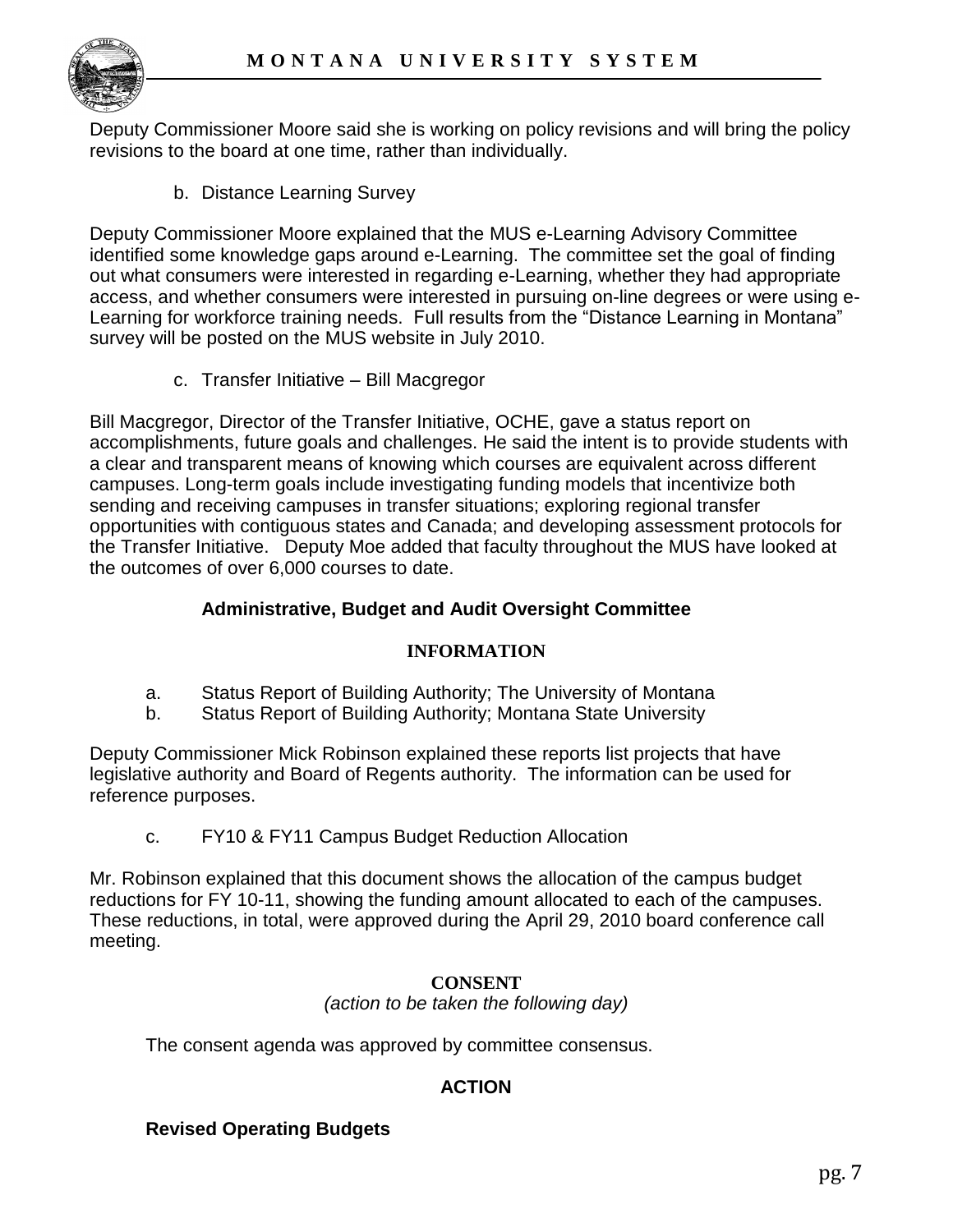

Deputy Commissioner Moore said she is working on policy revisions and will bring the policy revisions to the board at one time, rather than individually.

b. Distance Learning Survey

Deputy Commissioner Moore explained that the MUS e-Learning Advisory Committee identified some knowledge gaps around e-Learning. The committee set the goal of finding out what consumers were interested in regarding e-Learning, whether they had appropriate access, and whether consumers were interested in pursuing on-line degrees or were using e-Learning for workforce training needs. Full results from the "Distance Learning in Montana" survey will be posted on the MUS website in July 2010.

c. Transfer Initiative – Bill Macgregor

Bill Macgregor, Director of the Transfer Initiative, OCHE, gave a status report on accomplishments, future goals and challenges. He said the intent is to provide students with a clear and transparent means of knowing which courses are equivalent across different campuses. Long-term goals include investigating funding models that incentivize both sending and receiving campuses in transfer situations; exploring regional transfer opportunities with contiguous states and Canada; and developing assessment protocols for the Transfer Initiative. Deputy Moe added that faculty throughout the MUS have looked at the outcomes of over 6,000 courses to date.

## **Administrative, Budget and Audit Oversight Committee**

## **INFORMATION**

- a. Status Report of Building Authority; The University of Montana
- b. Status Report of Building Authority; Montana State University

Deputy Commissioner Mick Robinson explained these reports list projects that have legislative authority and Board of Regents authority. The information can be used for reference purposes.

c. FY10 & FY11 Campus Budget Reduction Allocation

Mr. Robinson explained that this document shows the allocation of the campus budget reductions for FY 10-11, showing the funding amount allocated to each of the campuses. These reductions, in total, were approved during the April 29, 2010 board conference call meeting.

#### **CONSENT** *(action to be taken the following day)*

The consent agenda was approved by committee consensus.

# **ACTION**

## **Revised Operating Budgets**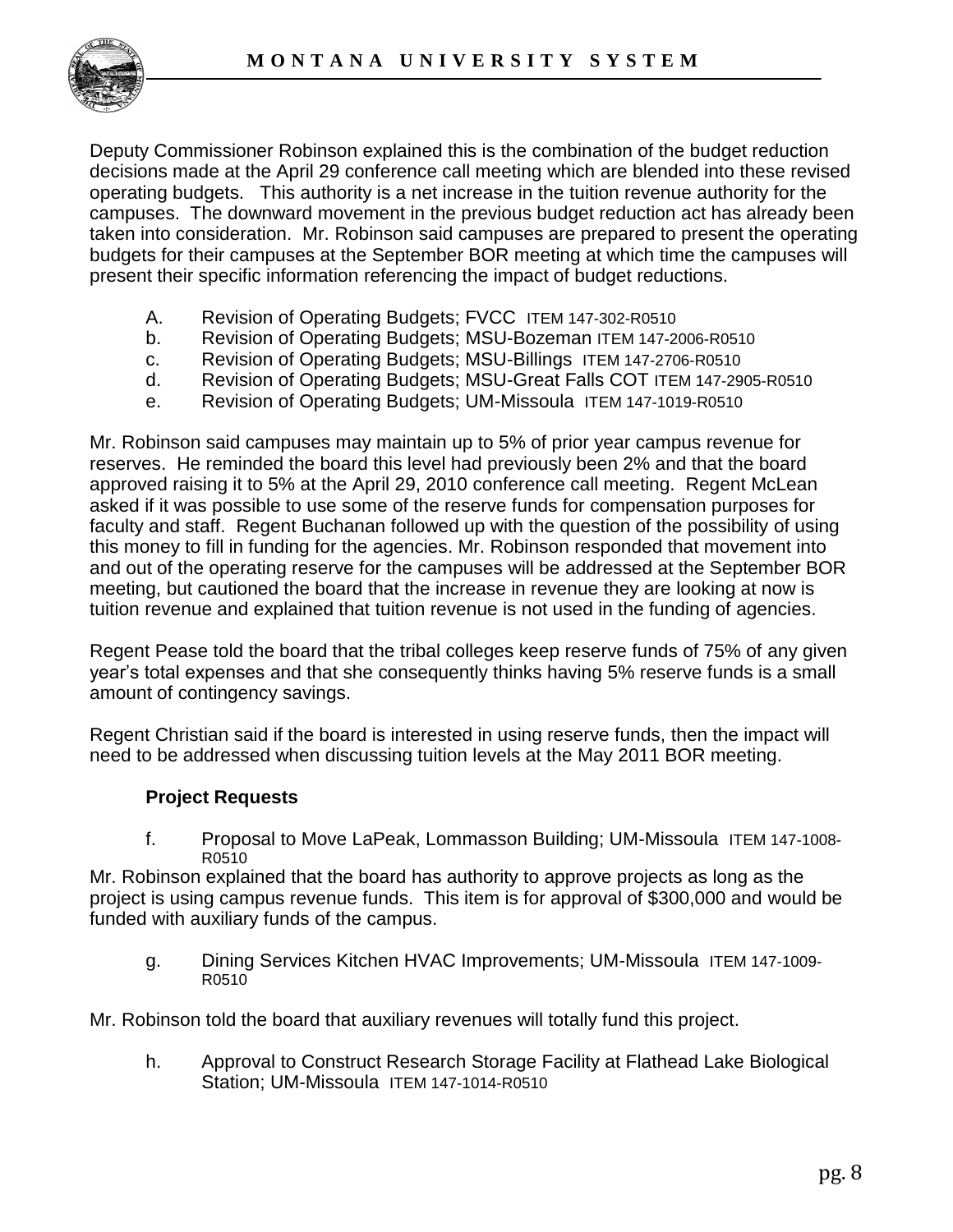

Deputy Commissioner Robinson explained this is the combination of the budget reduction decisions made at the April 29 conference call meeting which are blended into these revised operating budgets. This authority is a net increase in the tuition revenue authority for the campuses. The downward movement in the previous budget reduction act has already been taken into consideration. Mr. Robinson said campuses are prepared to present the operating budgets for their campuses at the September BOR meeting at which time the campuses will present their specific information referencing the impact of budget reductions.

- A. Revision of Operating Budgets; FVCC ITEM 147-302-R0510
- b. Revision of Operating Budgets; MSU-Bozeman ITEM 147-2006-R0510
- c. Revision of Operating Budgets; MSU-Billings ITEM 147-2706-R0510
- d. Revision of Operating Budgets; MSU-Great Falls COT ITEM 147-2905-R0510
- e. Revision of Operating Budgets; UM-Missoula ITEM 147-1019-R0510

Mr. Robinson said campuses may maintain up to 5% of prior year campus revenue for reserves. He reminded the board this level had previously been 2% and that the board approved raising it to 5% at the April 29, 2010 conference call meeting. Regent McLean asked if it was possible to use some of the reserve funds for compensation purposes for faculty and staff. Regent Buchanan followed up with the question of the possibility of using this money to fill in funding for the agencies. Mr. Robinson responded that movement into and out of the operating reserve for the campuses will be addressed at the September BOR meeting, but cautioned the board that the increase in revenue they are looking at now is tuition revenue and explained that tuition revenue is not used in the funding of agencies.

Regent Pease told the board that the tribal colleges keep reserve funds of 75% of any given year"s total expenses and that she consequently thinks having 5% reserve funds is a small amount of contingency savings.

Regent Christian said if the board is interested in using reserve funds, then the impact will need to be addressed when discussing tuition levels at the May 2011 BOR meeting.

#### **Project Requests**

f. Proposal to Move LaPeak, Lommasson Building; UM-Missoula ITEM 147-1008- R0510

Mr. Robinson explained that the board has authority to approve projects as long as the project is using campus revenue funds. This item is for approval of \$300,000 and would be funded with auxiliary funds of the campus.

g. Dining Services Kitchen HVAC Improvements; UM-Missoula ITEM 147-1009- R0510

Mr. Robinson told the board that auxiliary revenues will totally fund this project.

h. Approval to Construct Research Storage Facility at Flathead Lake Biological Station; UM-Missoula ITEM 147-1014-R0510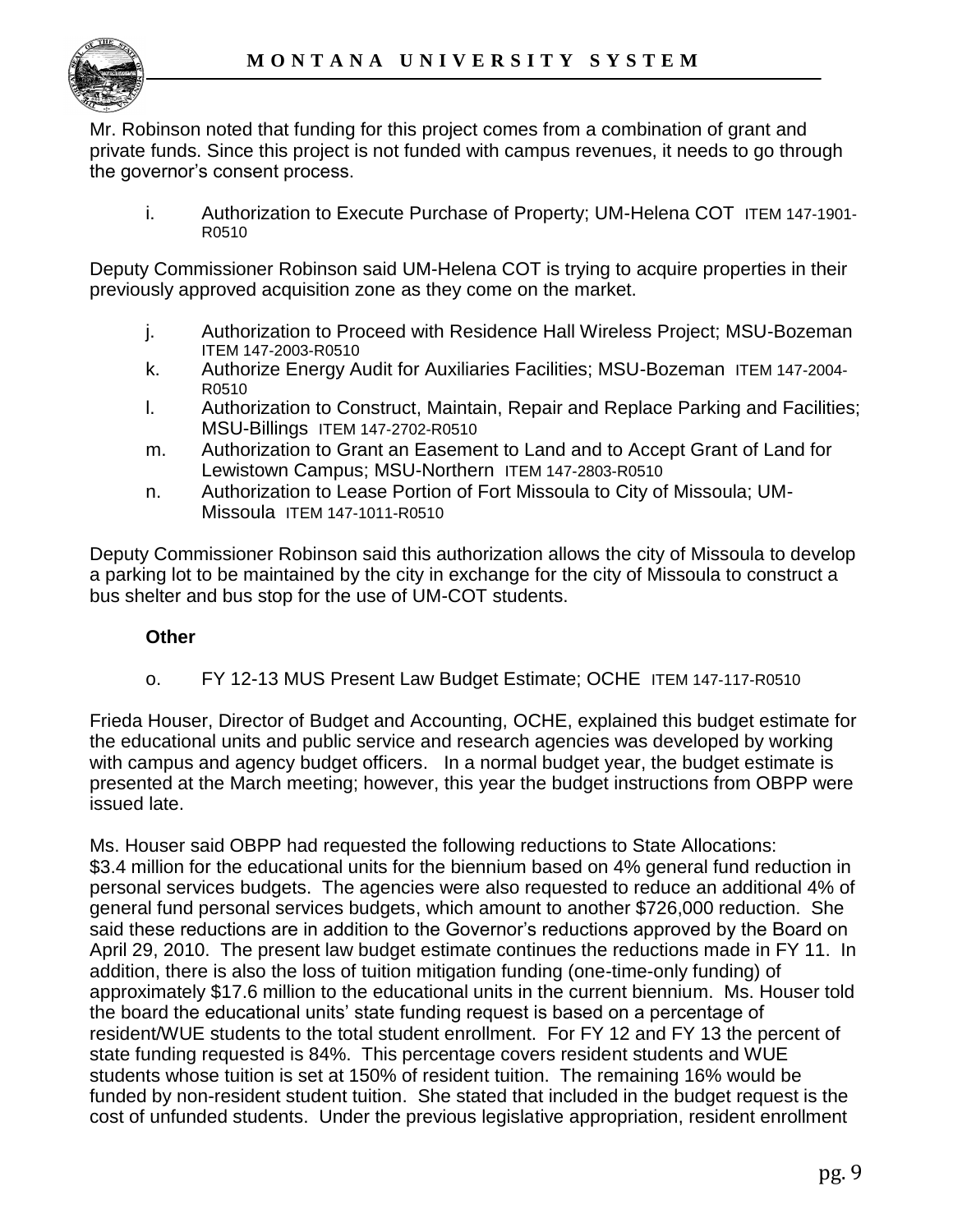

Mr. Robinson noted that funding for this project comes from a combination of grant and private funds. Since this project is not funded with campus revenues, it needs to go through the governor"s consent process.

i. Authorization to Execute Purchase of Property; UM-Helena COT ITEM 147-1901- R0510

Deputy Commissioner Robinson said UM-Helena COT is trying to acquire properties in their previously approved acquisition zone as they come on the market.

- j. Authorization to Proceed with Residence Hall Wireless Project; MSU-Bozeman ITEM 147-2003-R0510
- k. Authorize Energy Audit for Auxiliaries Facilities; MSU-Bozeman ITEM 147-2004- R0510
- l. Authorization to Construct, Maintain, Repair and Replace Parking and Facilities; MSU-Billings ITEM 147-2702-R0510
- m. Authorization to Grant an Easement to Land and to Accept Grant of Land for Lewistown Campus; MSU-Northern ITEM 147-2803-R0510
- n. Authorization to Lease Portion of Fort Missoula to City of Missoula; UM-Missoula ITEM 147-1011-R0510

Deputy Commissioner Robinson said this authorization allows the city of Missoula to develop a parking lot to be maintained by the city in exchange for the city of Missoula to construct a bus shelter and bus stop for the use of UM-COT students.

## **Other**

o. FY 12-13 MUS Present Law Budget Estimate; OCHE ITEM 147-117-R0510

Frieda Houser, Director of Budget and Accounting, OCHE, explained this budget estimate for the educational units and public service and research agencies was developed by working with campus and agency budget officers. In a normal budget year, the budget estimate is presented at the March meeting; however, this year the budget instructions from OBPP were issued late.

Ms. Houser said OBPP had requested the following reductions to State Allocations: \$3.4 million for the educational units for the biennium based on 4% general fund reduction in personal services budgets. The agencies were also requested to reduce an additional 4% of general fund personal services budgets, which amount to another \$726,000 reduction. She said these reductions are in addition to the Governor"s reductions approved by the Board on April 29, 2010. The present law budget estimate continues the reductions made in FY 11. In addition, there is also the loss of tuition mitigation funding (one-time-only funding) of approximately \$17.6 million to the educational units in the current biennium. Ms. Houser told the board the educational units" state funding request is based on a percentage of resident/WUE students to the total student enrollment. For FY 12 and FY 13 the percent of state funding requested is 84%. This percentage covers resident students and WUE students whose tuition is set at 150% of resident tuition. The remaining 16% would be funded by non-resident student tuition. She stated that included in the budget request is the cost of unfunded students. Under the previous legislative appropriation, resident enrollment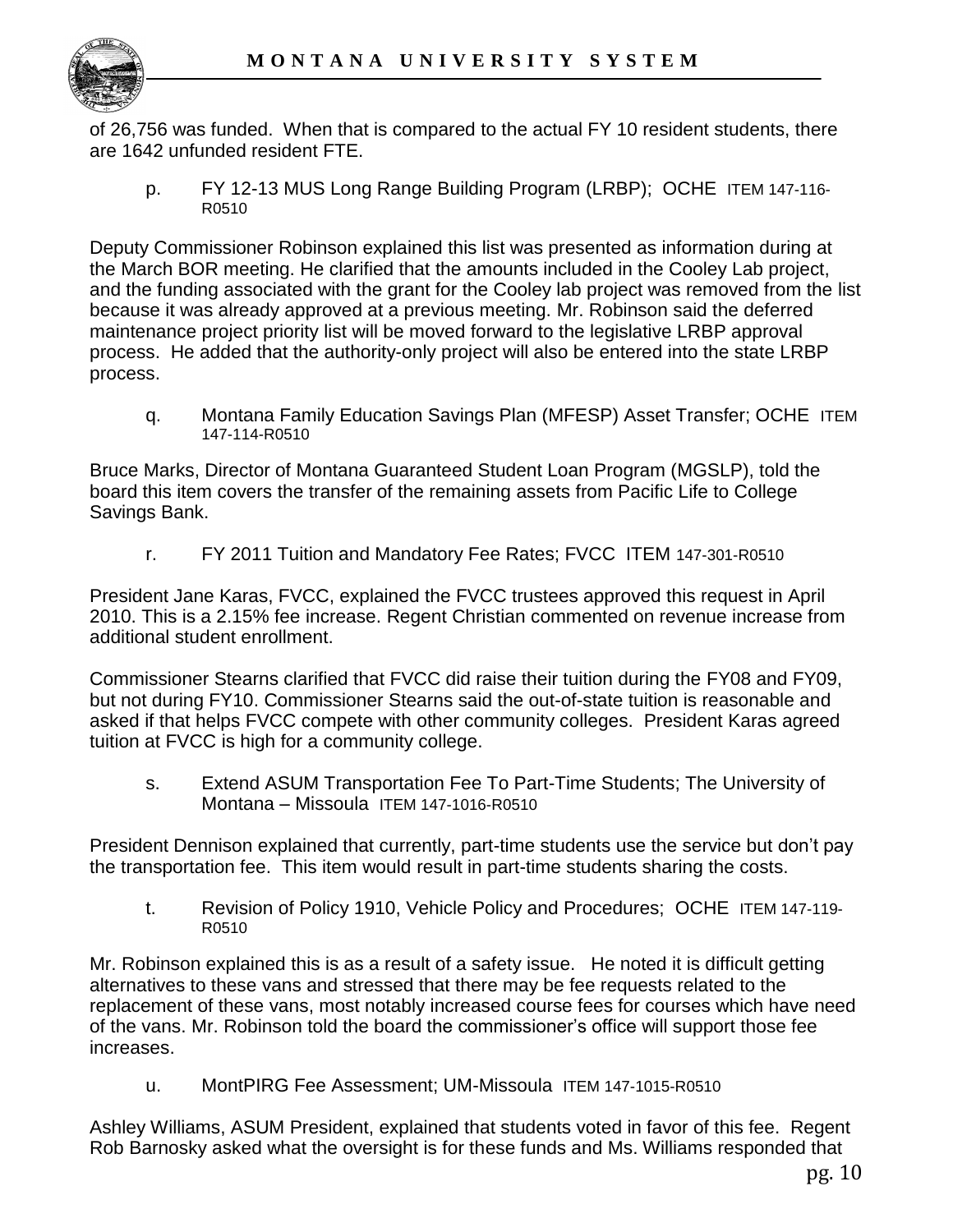

of 26,756 was funded. When that is compared to the actual FY 10 resident students, there are 1642 unfunded resident FTE.

p. FY 12-13 MUS Long Range Building Program (LRBP); OCHE ITEM 147-116- R0510

Deputy Commissioner Robinson explained this list was presented as information during at the March BOR meeting. He clarified that the amounts included in the Cooley Lab project, and the funding associated with the grant for the Cooley lab project was removed from the list because it was already approved at a previous meeting. Mr. Robinson said the deferred maintenance project priority list will be moved forward to the legislative LRBP approval process. He added that the authority-only project will also be entered into the state LRBP process.

q. Montana Family Education Savings Plan (MFESP) Asset Transfer; OCHE ITEM 147-114-R0510

Bruce Marks, Director of Montana Guaranteed Student Loan Program (MGSLP), told the board this item covers the transfer of the remaining assets from Pacific Life to College Savings Bank.

r. FY 2011 Tuition and Mandatory Fee Rates; FVCC ITEM 147-301-R0510

President Jane Karas, FVCC, explained the FVCC trustees approved this request in April 2010. This is a 2.15% fee increase. Regent Christian commented on revenue increase from additional student enrollment.

Commissioner Stearns clarified that FVCC did raise their tuition during the FY08 and FY09, but not during FY10. Commissioner Stearns said the out-of-state tuition is reasonable and asked if that helps FVCC compete with other community colleges. President Karas agreed tuition at FVCC is high for a community college.

s. Extend ASUM Transportation Fee To Part-Time Students; The University of Montana – Missoula ITEM 147-1016-R0510

President Dennison explained that currently, part-time students use the service but don"t pay the transportation fee. This item would result in part-time students sharing the costs.

t. Revision of Policy 1910, Vehicle Policy and Procedures; OCHE ITEM 147-119- R0510

Mr. Robinson explained this is as a result of a safety issue. He noted it is difficult getting alternatives to these vans and stressed that there may be fee requests related to the replacement of these vans, most notably increased course fees for courses which have need of the vans. Mr. Robinson told the board the commissioner"s office will support those fee increases.

u. MontPIRG Fee Assessment; UM-Missoula ITEM 147-1015-R0510

Ashley Williams, ASUM President, explained that students voted in favor of this fee. Regent Rob Barnosky asked what the oversight is for these funds and Ms. Williams responded that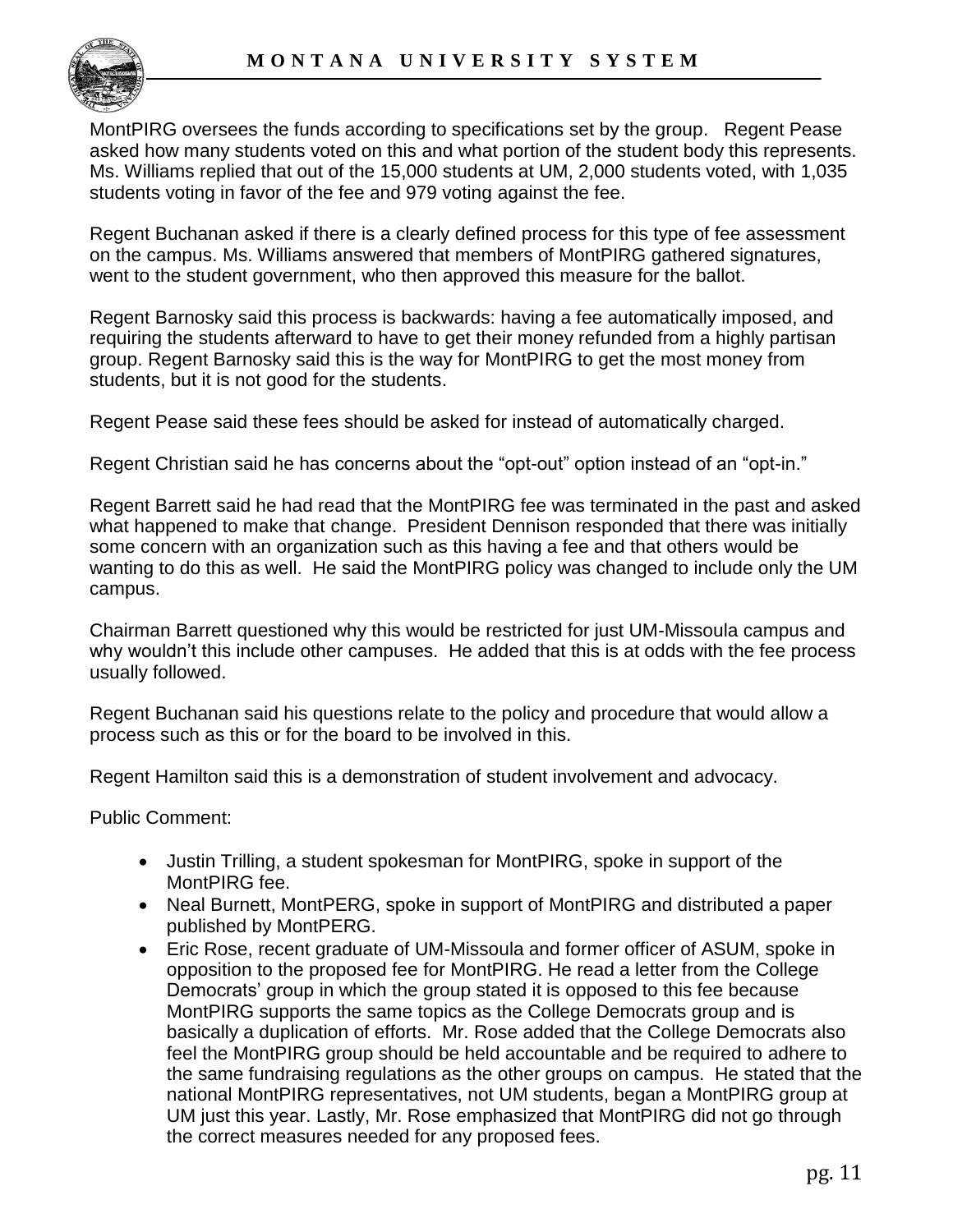MontPIRG oversees the funds according to specifications set by the group. Regent Pease asked how many students voted on this and what portion of the student body this represents. Ms. Williams replied that out of the 15,000 students at UM, 2,000 students voted, with 1,035 students voting in favor of the fee and 979 voting against the fee.

Regent Buchanan asked if there is a clearly defined process for this type of fee assessment on the campus. Ms. Williams answered that members of MontPIRG gathered signatures, went to the student government, who then approved this measure for the ballot.

Regent Barnosky said this process is backwards: having a fee automatically imposed, and requiring the students afterward to have to get their money refunded from a highly partisan group. Regent Barnosky said this is the way for MontPIRG to get the most money from students, but it is not good for the students.

Regent Pease said these fees should be asked for instead of automatically charged.

Regent Christian said he has concerns about the "opt-out" option instead of an "opt-in."

Regent Barrett said he had read that the MontPIRG fee was terminated in the past and asked what happened to make that change. President Dennison responded that there was initially some concern with an organization such as this having a fee and that others would be wanting to do this as well. He said the MontPIRG policy was changed to include only the UM campus.

Chairman Barrett questioned why this would be restricted for just UM-Missoula campus and why wouldn"t this include other campuses. He added that this is at odds with the fee process usually followed.

Regent Buchanan said his questions relate to the policy and procedure that would allow a process such as this or for the board to be involved in this.

Regent Hamilton said this is a demonstration of student involvement and advocacy.

Public Comment:

- Justin Trilling, a student spokesman for MontPIRG, spoke in support of the MontPIRG fee.
- Neal Burnett, MontPERG, spoke in support of MontPIRG and distributed a paper published by MontPERG.
- Eric Rose, recent graduate of UM-Missoula and former officer of ASUM, spoke in opposition to the proposed fee for MontPIRG. He read a letter from the College Democrats" group in which the group stated it is opposed to this fee because MontPIRG supports the same topics as the College Democrats group and is basically a duplication of efforts. Mr. Rose added that the College Democrats also feel the MontPIRG group should be held accountable and be required to adhere to the same fundraising regulations as the other groups on campus. He stated that the national MontPIRG representatives, not UM students, began a MontPIRG group at UM just this year. Lastly, Mr. Rose emphasized that MontPIRG did not go through the correct measures needed for any proposed fees.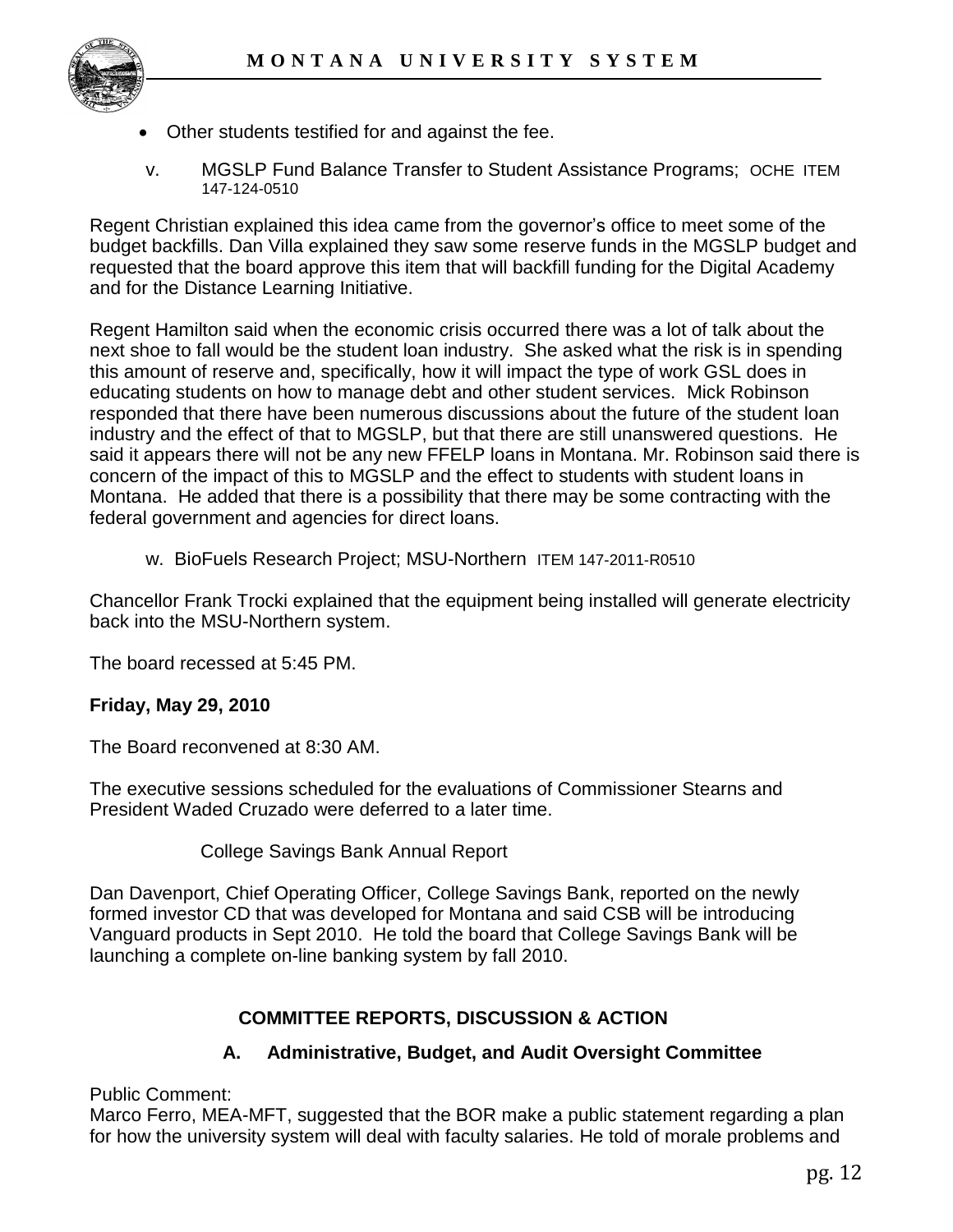

- Other students testified for and against the fee.
- v. MGSLP Fund Balance Transfer to Student Assistance Programs; OCHE ITEM 147-124-0510

Regent Christian explained this idea came from the governor"s office to meet some of the budget backfills. Dan Villa explained they saw some reserve funds in the MGSLP budget and requested that the board approve this item that will backfill funding for the Digital Academy and for the Distance Learning Initiative.

Regent Hamilton said when the economic crisis occurred there was a lot of talk about the next shoe to fall would be the student loan industry. She asked what the risk is in spending this amount of reserve and, specifically, how it will impact the type of work GSL does in educating students on how to manage debt and other student services. Mick Robinson responded that there have been numerous discussions about the future of the student loan industry and the effect of that to MGSLP, but that there are still unanswered questions. He said it appears there will not be any new FFELP loans in Montana. Mr. Robinson said there is concern of the impact of this to MGSLP and the effect to students with student loans in Montana. He added that there is a possibility that there may be some contracting with the federal government and agencies for direct loans.

w. BioFuels Research Project; MSU-Northern ITEM 147-2011-R0510

Chancellor Frank Trocki explained that the equipment being installed will generate electricity back into the MSU-Northern system.

The board recessed at 5:45 PM.

#### **Friday, May 29, 2010**

The Board reconvened at 8:30 AM.

The executive sessions scheduled for the evaluations of Commissioner Stearns and President Waded Cruzado were deferred to a later time.

College Savings Bank Annual Report

Dan Davenport, Chief Operating Officer, College Savings Bank, reported on the newly formed investor CD that was developed for Montana and said CSB will be introducing Vanguard products in Sept 2010. He told the board that College Savings Bank will be launching a complete on-line banking system by fall 2010.

## **COMMITTEE REPORTS, DISCUSSION & ACTION**

#### **A. Administrative, Budget, and Audit Oversight Committee**

Public Comment:

Marco Ferro, MEA-MFT, suggested that the BOR make a public statement regarding a plan for how the university system will deal with faculty salaries. He told of morale problems and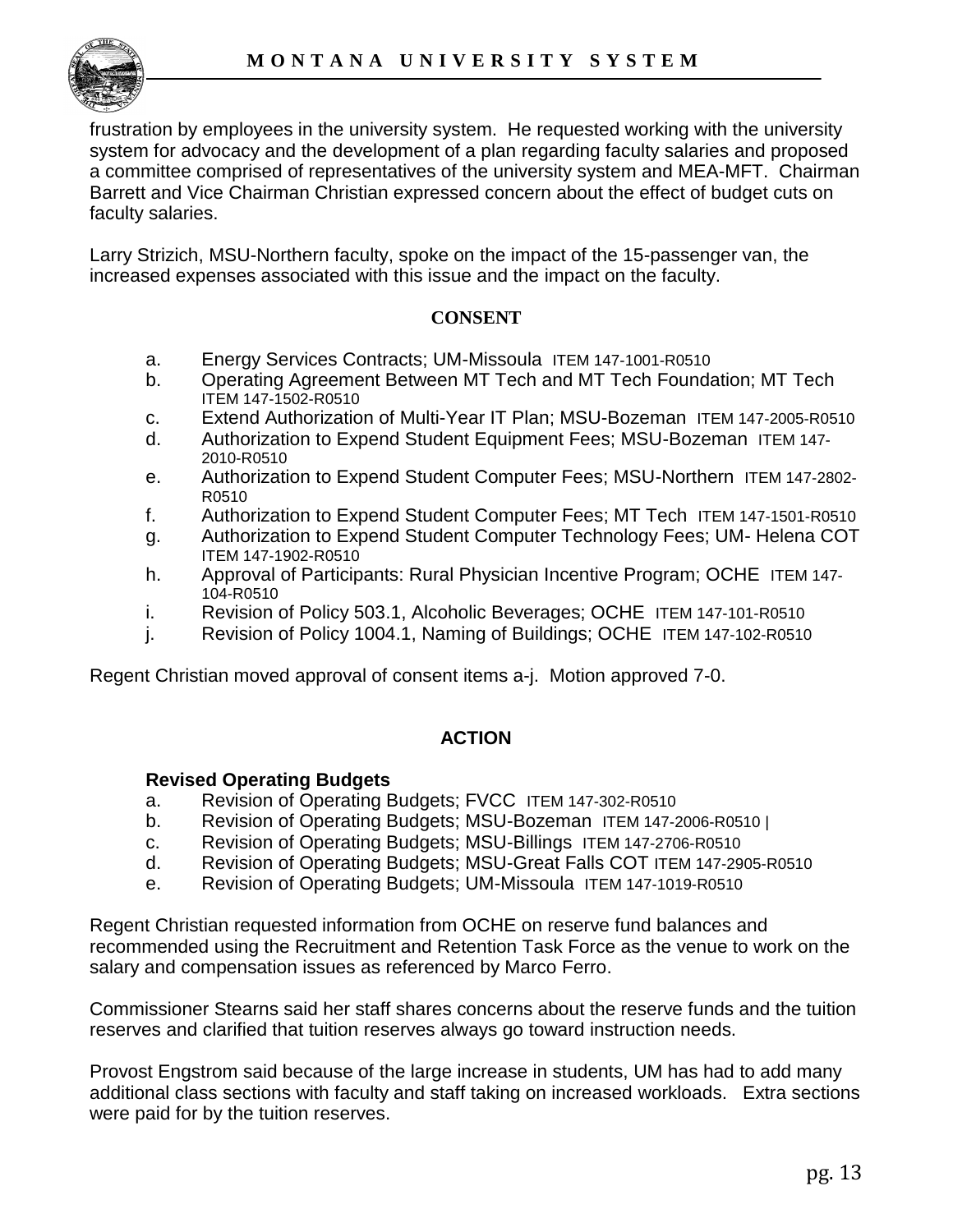frustration by employees in the university system. He requested working with the university system for advocacy and the development of a plan regarding faculty salaries and proposed a committee comprised of representatives of the university system and MEA-MFT. Chairman Barrett and Vice Chairman Christian expressed concern about the effect of budget cuts on faculty salaries.

Larry Strizich, MSU-Northern faculty, spoke on the impact of the 15-passenger van, the increased expenses associated with this issue and the impact on the faculty.

### **CONSENT**

- a. Energy Services Contracts; UM-Missoula ITEM 147-1001-R0510
- b. Operating Agreement Between MT Tech and MT Tech Foundation; MT Tech ITEM 147-1502-R0510
- c. Extend Authorization of Multi-Year IT Plan; MSU-Bozeman ITEM 147-2005-R0510
- d. Authorization to Expend Student Equipment Fees; MSU-Bozeman ITEM 147- 2010-R0510
- e. Authorization to Expend Student Computer Fees; MSU-Northern ITEM 147-2802- R0510
- f. Authorization to Expend Student Computer Fees; MT Tech ITEM 147-1501-R0510
- g. Authorization to Expend Student Computer Technology Fees; UM- Helena COT ITEM 147-1902-R0510
- h. Approval of Participants: Rural Physician Incentive Program; OCHE ITEM 147- 104-R0510
- i. Revision of Policy 503.1, Alcoholic Beverages; OCHE ITEM 147-101-R0510
- j. Revision of Policy 1004.1, Naming of Buildings; OCHE ITEM 147-102-R0510

Regent Christian moved approval of consent items a-j. Motion approved 7-0.

#### **ACTION**

#### **Revised Operating Budgets**

- a. Revision of Operating Budgets; FVCC ITEM 147-302-R0510
- b. Revision of Operating Budgets; MSU-Bozeman ITEM 147-2006-R0510 |
- c. Revision of Operating Budgets; MSU-Billings ITEM 147-2706-R0510
- d. Revision of Operating Budgets; MSU-Great Falls COT ITEM 147-2905-R0510
- e. Revision of Operating Budgets; UM-Missoula ITEM 147-1019-R0510

Regent Christian requested information from OCHE on reserve fund balances and recommended using the Recruitment and Retention Task Force as the venue to work on the salary and compensation issues as referenced by Marco Ferro.

Commissioner Stearns said her staff shares concerns about the reserve funds and the tuition reserves and clarified that tuition reserves always go toward instruction needs.

Provost Engstrom said because of the large increase in students, UM has had to add many additional class sections with faculty and staff taking on increased workloads. Extra sections were paid for by the tuition reserves.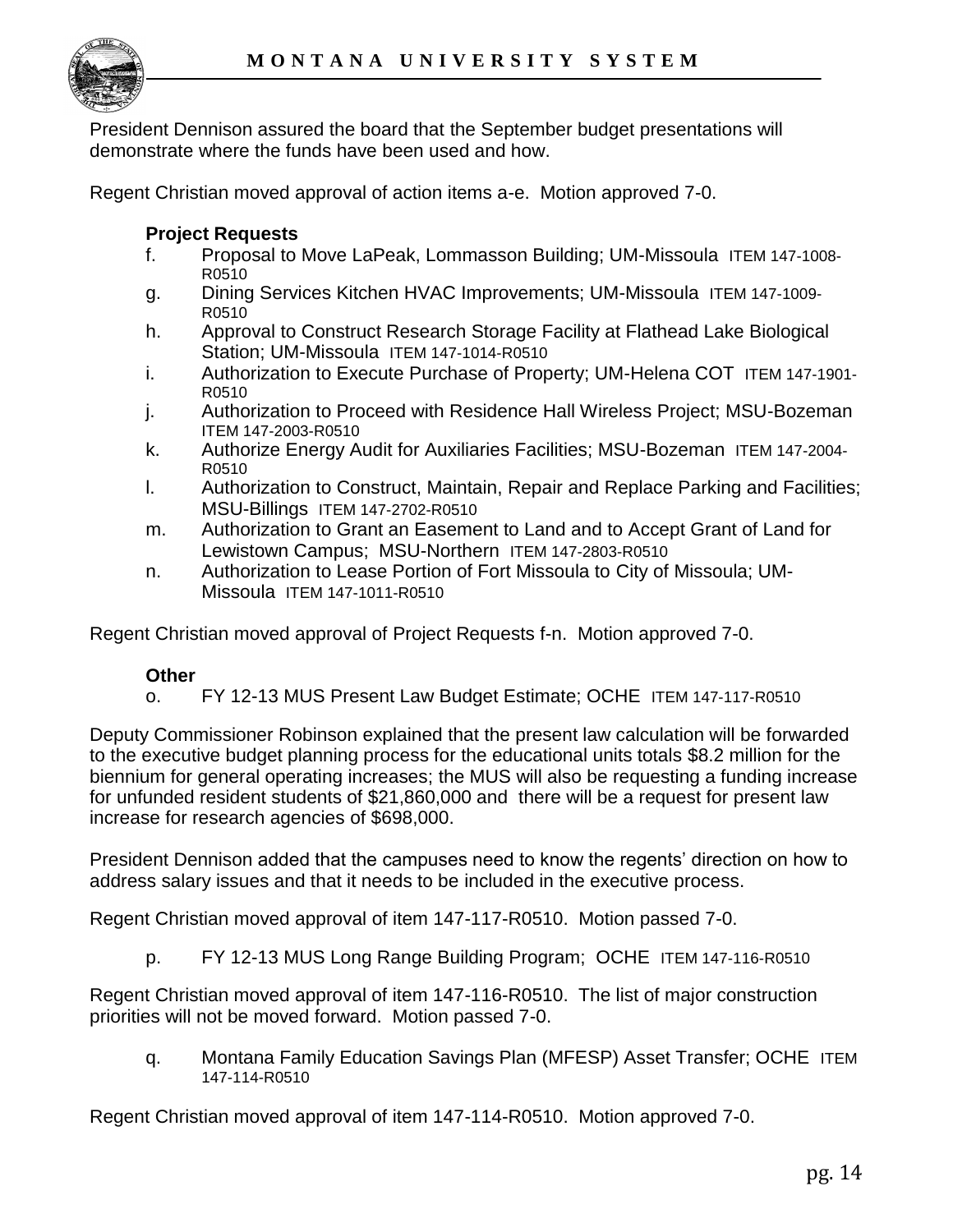

President Dennison assured the board that the September budget presentations will demonstrate where the funds have been used and how.

Regent Christian moved approval of action items a-e. Motion approved 7-0.

### **Project Requests**

- f. Proposal to Move LaPeak, Lommasson Building; UM-Missoula ITEM 147-1008- R0510
- g. Dining Services Kitchen HVAC Improvements; UM-Missoula ITEM 147-1009- R0510
- h. Approval to Construct Research Storage Facility at Flathead Lake Biological Station; UM-Missoula ITEM 147-1014-R0510
- i. Authorization to Execute Purchase of Property; UM-Helena COT ITEM 147-1901- R0510
- j. Authorization to Proceed with Residence Hall Wireless Project; MSU-Bozeman ITEM 147-2003-R0510
- k. Authorize Energy Audit for Auxiliaries Facilities; MSU-Bozeman ITEM 147-2004- R0510
- l. Authorization to Construct, Maintain, Repair and Replace Parking and Facilities; MSU-Billings ITEM 147-2702-R0510
- m. Authorization to Grant an Easement to Land and to Accept Grant of Land for Lewistown Campus; MSU-Northern ITEM 147-2803-R0510
- n. Authorization to Lease Portion of Fort Missoula to City of Missoula; UM-Missoula ITEM 147-1011-R0510

Regent Christian moved approval of Project Requests f-n. Motion approved 7-0.

## **Other**

o. FY 12-13 MUS Present Law Budget Estimate; OCHE ITEM 147-117-R0510

Deputy Commissioner Robinson explained that the present law calculation will be forwarded to the executive budget planning process for the educational units totals \$8.2 million for the biennium for general operating increases; the MUS will also be requesting a funding increase for unfunded resident students of \$21,860,000 and there will be a request for present law increase for research agencies of \$698,000.

President Dennison added that the campuses need to know the regents" direction on how to address salary issues and that it needs to be included in the executive process.

Regent Christian moved approval of item 147-117-R0510. Motion passed 7-0.

p. FY 12-13 MUS Long Range Building Program; OCHE ITEM 147-116-R0510

Regent Christian moved approval of item 147-116-R0510. The list of major construction priorities will not be moved forward. Motion passed 7-0.

q. Montana Family Education Savings Plan (MFESP) Asset Transfer; OCHE ITEM 147-114-R0510

Regent Christian moved approval of item 147-114-R0510. Motion approved 7-0.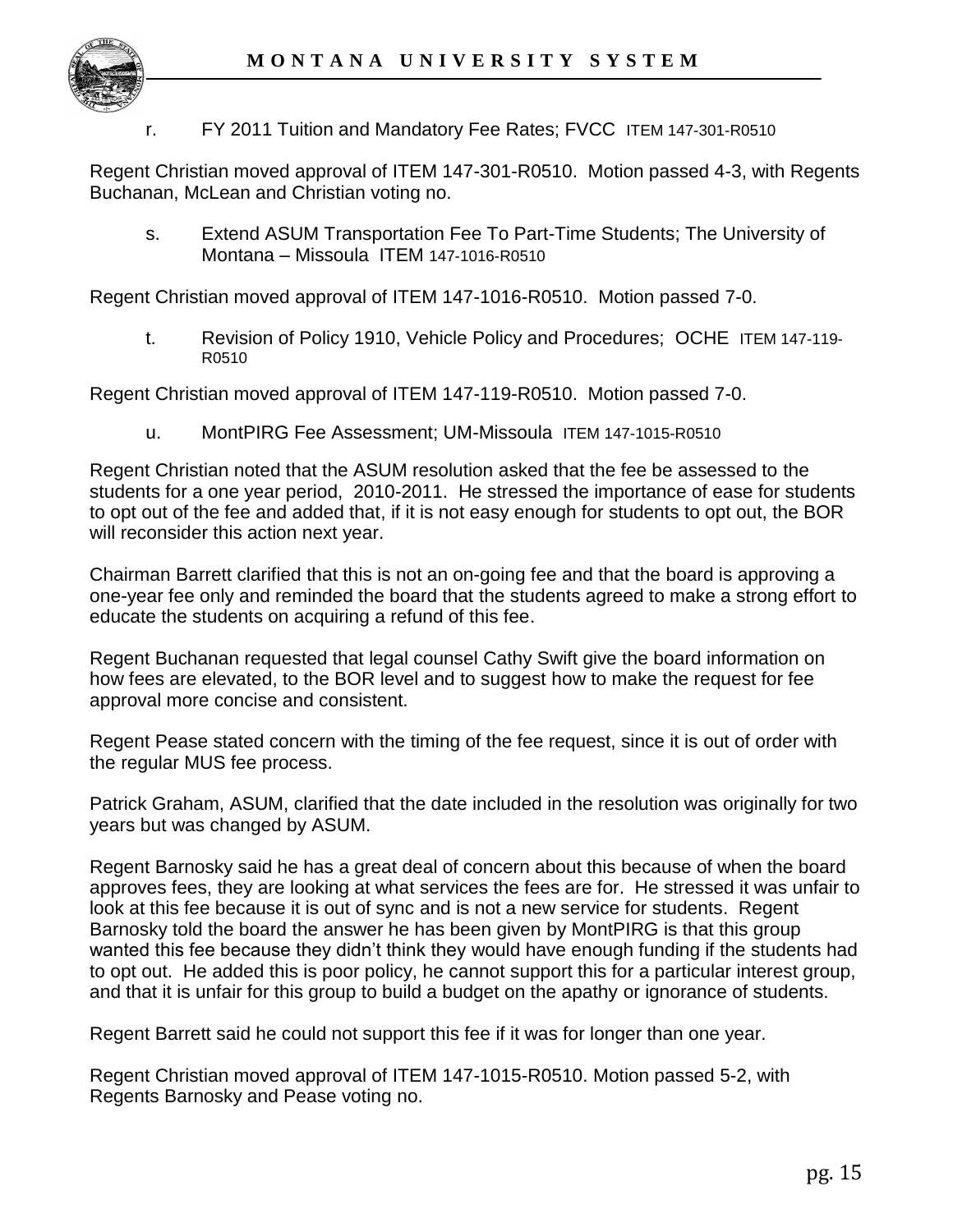

r. FY 2011 Tuition and Mandatory Fee Rates; FVCC ITEM 147-301-R0510

Regent Christian moved approval of ITEM 147-301-R0510. Motion passed 4-3, with Regents Buchanan, McLean and Christian voting no.

s. Extend ASUM Transportation Fee To Part-Time Students; The University of Montana – Missoula ITEM 147-1016-R0510

Regent Christian moved approval of ITEM 147-1016-R0510. Motion passed 7-0.

t. Revision of Policy 1910, Vehicle Policy and Procedures; OCHE ITEM 147-119- R0510

Regent Christian moved approval of ITEM 147-119-R0510. Motion passed 7-0.

u. MontPIRG Fee Assessment; UM-Missoula ITEM 147-1015-R0510

Regent Christian noted that the ASUM resolution asked that the fee be assessed to the students for a one year period, 2010-2011. He stressed the importance of ease for students to opt out of the fee and added that, if it is not easy enough for students to opt out, the BOR will reconsider this action next year.

Chairman Barrett clarified that this is not an on-going fee and that the board is approving a one-year fee only and reminded the board that the students agreed to make a strong effort to educate the students on acquiring a refund of this fee.

Regent Buchanan requested that legal counsel Cathy Swift give the board information on how fees are elevated, to the BOR level and to suggest how to make the request for fee approval more concise and consistent.

Regent Pease stated concern with the timing of the fee request, since it is out of order with the regular MUS fee process.

Patrick Graham, ASUM, clarified that the date included in the resolution was originally for two years but was changed by ASUM.

Regent Barnosky said he has a great deal of concern about this because of when the board approves fees, they are looking at what services the fees are for. He stressed it was unfair to look at this fee because it is out of sync and is not a new service for students. Regent Barnosky told the board the answer he has been given by MontPIRG is that this group wanted this fee because they didn"t think they would have enough funding if the students had to opt out. He added this is poor policy, he cannot support this for a particular interest group, and that it is unfair for this group to build a budget on the apathy or ignorance of students.

Regent Barrett said he could not support this fee if it was for longer than one year.

Regent Christian moved approval of ITEM 147-1015-R0510. Motion passed 5-2, with Regents Barnosky and Pease voting no.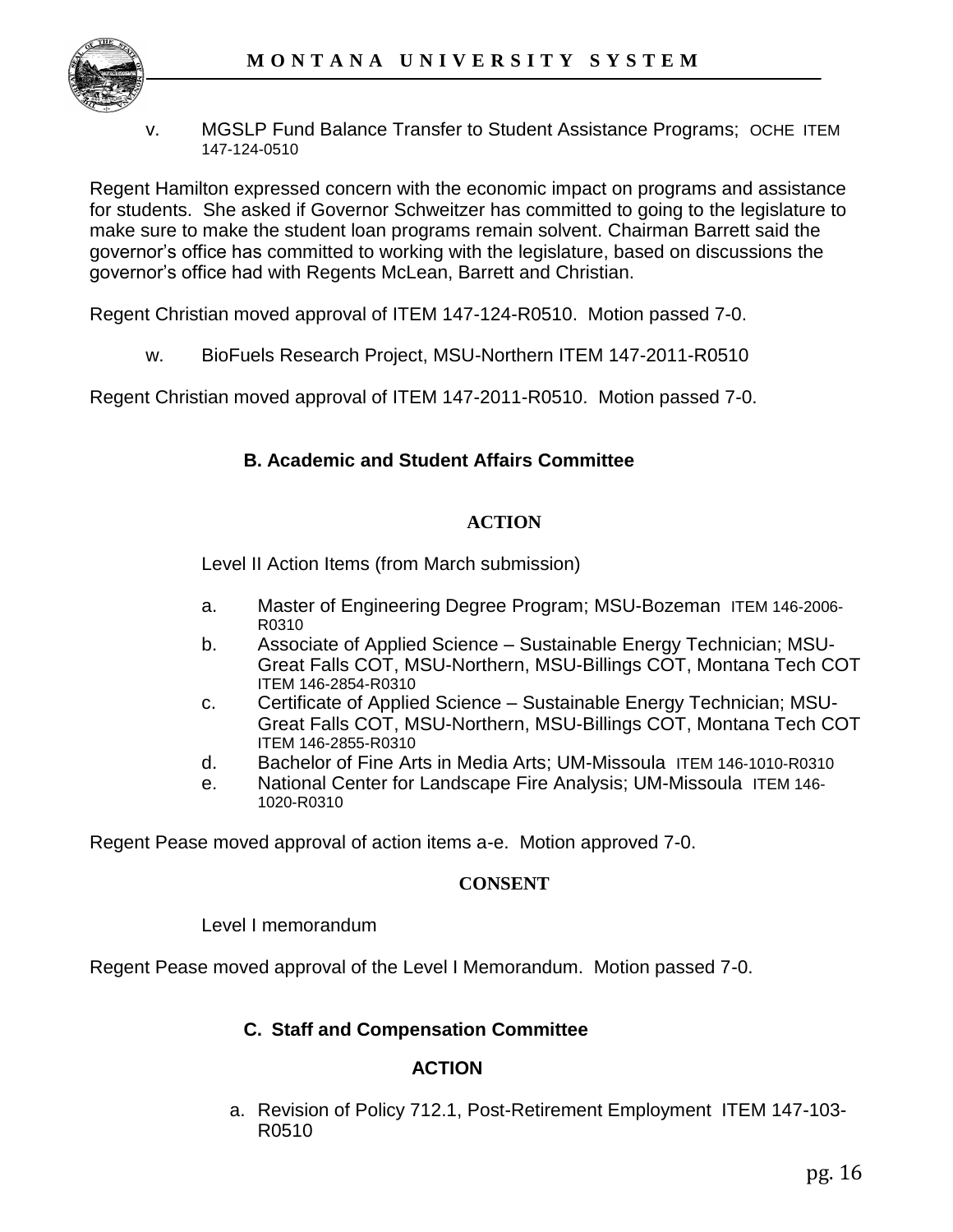

v. MGSLP Fund Balance Transfer to Student Assistance Programs; OCHE ITEM 147-124-0510

Regent Hamilton expressed concern with the economic impact on programs and assistance for students. She asked if Governor Schweitzer has committed to going to the legislature to make sure to make the student loan programs remain solvent. Chairman Barrett said the governor"s office has committed to working with the legislature, based on discussions the governor"s office had with Regents McLean, Barrett and Christian.

Regent Christian moved approval of ITEM 147-124-R0510. Motion passed 7-0.

w. BioFuels Research Project, MSU-Northern ITEM 147-2011-R0510

Regent Christian moved approval of ITEM 147-2011-R0510. Motion passed 7-0.

### **B. Academic and Student Affairs Committee**

#### **ACTION**

Level II Action Items (from March submission)

- a. Master of Engineering Degree Program; MSU-Bozeman ITEM 146-2006- R0310
- b. Associate of Applied Science Sustainable Energy Technician; MSU-Great Falls COT, MSU-Northern, MSU-Billings COT, Montana Tech COT ITEM 146-2854-R0310
- c. Certificate of Applied Science Sustainable Energy Technician; MSU-Great Falls COT, MSU-Northern, MSU-Billings COT, Montana Tech COT ITEM 146-2855-R0310
- d. Bachelor of Fine Arts in Media Arts; UM-Missoula ITEM 146-1010-R0310
- e. National Center for Landscape Fire Analysis; UM-Missoula ITEM 146- 1020-R0310

Regent Pease moved approval of action items a-e. Motion approved 7-0.

#### **CONSENT**

Level I memorandum

Regent Pease moved approval of the Level I Memorandum. Motion passed 7-0.

#### **C. Staff and Compensation Committee**

#### **ACTION**

a. Revision of Policy 712.1, Post-Retirement Employment ITEM 147-103- R0510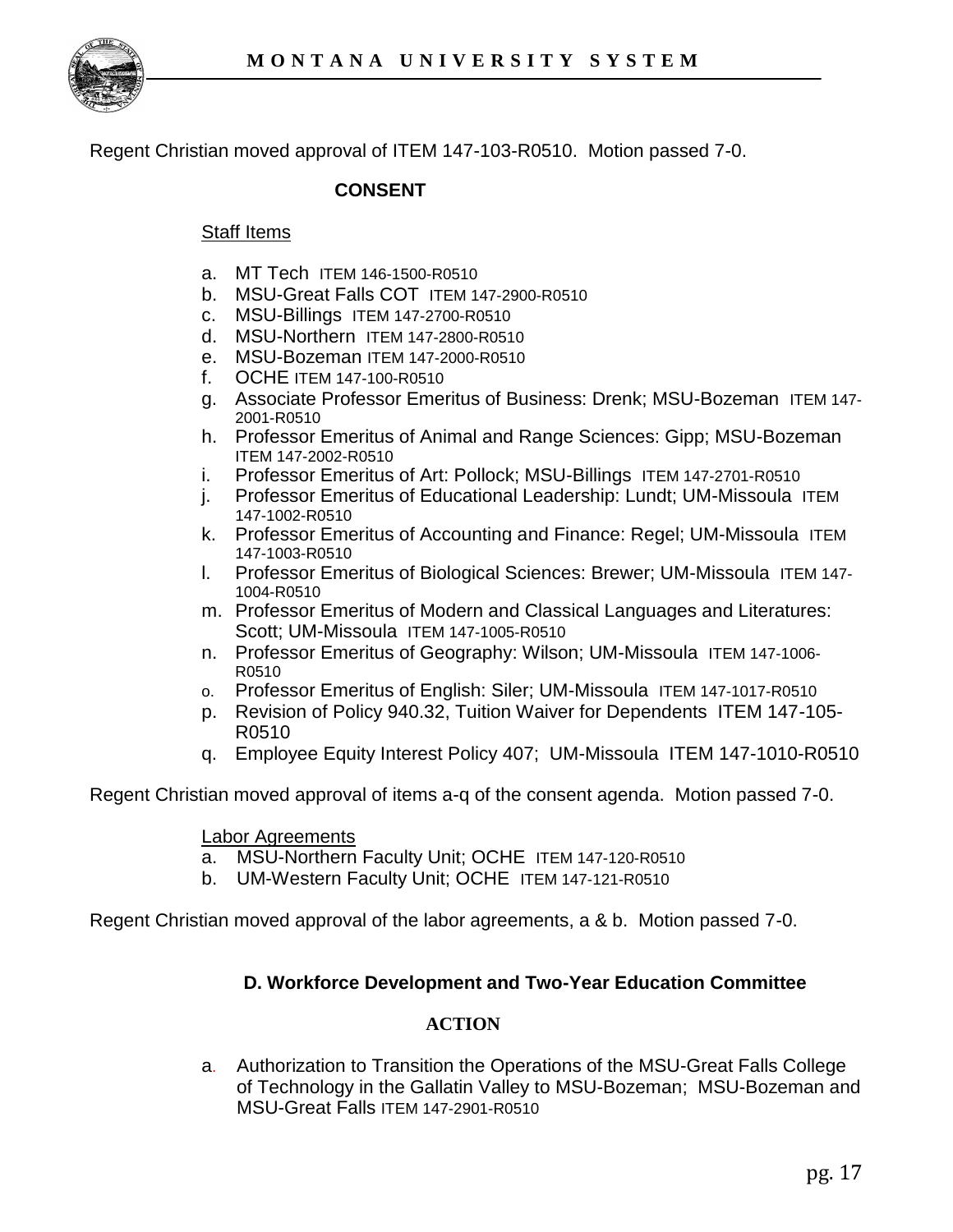

Regent Christian moved approval of ITEM 147-103-R0510. Motion passed 7-0.

### **CONSENT**

#### Staff Items

- a. MT Tech ITEM 146-1500-R0510
- b. MSU-Great Falls COT ITEM 147-2900-R0510
- c. MSU-Billings ITEM 147-2700-R0510
- d. MSU-Northern ITEM 147-2800-R0510
- e. MSU-Bozeman ITEM 147-2000-R0510
- f. OCHE ITEM 147-100-R0510
- g. Associate Professor Emeritus of Business: Drenk; MSU-Bozeman ITEM 147- 2001-R0510
- h. Professor Emeritus of Animal and Range Sciences: Gipp; MSU-Bozeman ITEM 147-2002-R0510
- i. Professor Emeritus of Art: Pollock; MSU-Billings ITEM 147-2701-R0510
- j. Professor Emeritus of Educational Leadership: Lundt; UM-Missoula ITEM 147-1002-R0510
- k. Professor Emeritus of Accounting and Finance: Regel; UM-Missoula ITEM 147-1003-R0510
- l. Professor Emeritus of Biological Sciences: Brewer; UM-Missoula ITEM 147- 1004-R0510
- m. Professor Emeritus of Modern and Classical Languages and Literatures: Scott; UM-Missoula ITEM 147-1005-R0510
- n. Professor Emeritus of Geography: Wilson; UM-Missoula ITEM 147-1006- R0510
- o. Professor Emeritus of English: Siler; UM-Missoula ITEM 147-1017-R0510
- p. Revision of Policy 940.32, Tuition Waiver for Dependents ITEM 147-105- R0510
- q. Employee Equity Interest Policy 407; UM-Missoula ITEM 147-1010-R0510

Regent Christian moved approval of items a-q of the consent agenda. Motion passed 7-0.

#### Labor Agreements

- a. MSU-Northern Faculty Unit; OCHE ITEM 147-120-R0510
- b. UM-Western Faculty Unit; OCHE ITEM 147-121-R0510

Regent Christian moved approval of the labor agreements, a & b. Motion passed 7-0.

#### **D. Workforce Development and Two-Year Education Committee**

#### **ACTION**

a. Authorization to Transition the Operations of the MSU-Great Falls College of Technology in the Gallatin Valley to MSU-Bozeman; MSU-Bozeman and MSU-Great Falls ITEM 147-2901-R0510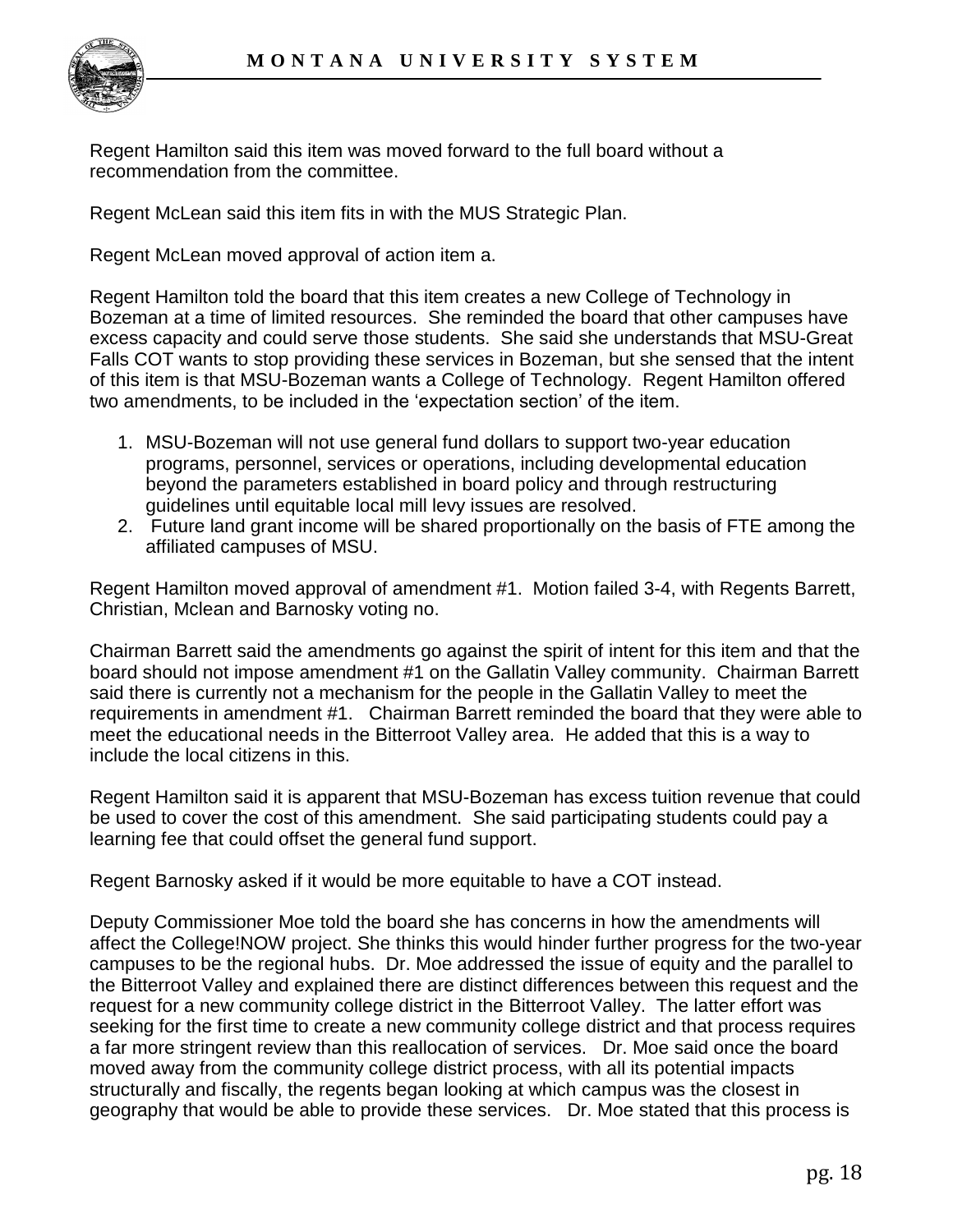

Regent Hamilton said this item was moved forward to the full board without a recommendation from the committee.

Regent McLean said this item fits in with the MUS Strategic Plan.

Regent McLean moved approval of action item a.

Regent Hamilton told the board that this item creates a new College of Technology in Bozeman at a time of limited resources. She reminded the board that other campuses have excess capacity and could serve those students. She said she understands that MSU-Great Falls COT wants to stop providing these services in Bozeman, but she sensed that the intent of this item is that MSU-Bozeman wants a College of Technology. Regent Hamilton offered two amendments, to be included in the "expectation section" of the item.

- 1. MSU-Bozeman will not use general fund dollars to support two-year education programs, personnel, services or operations, including developmental education beyond the parameters established in board policy and through restructuring guidelines until equitable local mill levy issues are resolved.
- 2. Future land grant income will be shared proportionally on the basis of FTE among the affiliated campuses of MSU.

Regent Hamilton moved approval of amendment #1. Motion failed 3-4, with Regents Barrett, Christian, Mclean and Barnosky voting no.

Chairman Barrett said the amendments go against the spirit of intent for this item and that the board should not impose amendment #1 on the Gallatin Valley community. Chairman Barrett said there is currently not a mechanism for the people in the Gallatin Valley to meet the requirements in amendment #1. Chairman Barrett reminded the board that they were able to meet the educational needs in the Bitterroot Valley area. He added that this is a way to include the local citizens in this.

Regent Hamilton said it is apparent that MSU-Bozeman has excess tuition revenue that could be used to cover the cost of this amendment. She said participating students could pay a learning fee that could offset the general fund support.

Regent Barnosky asked if it would be more equitable to have a COT instead.

Deputy Commissioner Moe told the board she has concerns in how the amendments will affect the College!NOW project. She thinks this would hinder further progress for the two-year campuses to be the regional hubs. Dr. Moe addressed the issue of equity and the parallel to the Bitterroot Valley and explained there are distinct differences between this request and the request for a new community college district in the Bitterroot Valley. The latter effort was seeking for the first time to create a new community college district and that process requires a far more stringent review than this reallocation of services. Dr. Moe said once the board moved away from the community college district process, with all its potential impacts structurally and fiscally, the regents began looking at which campus was the closest in geography that would be able to provide these services. Dr. Moe stated that this process is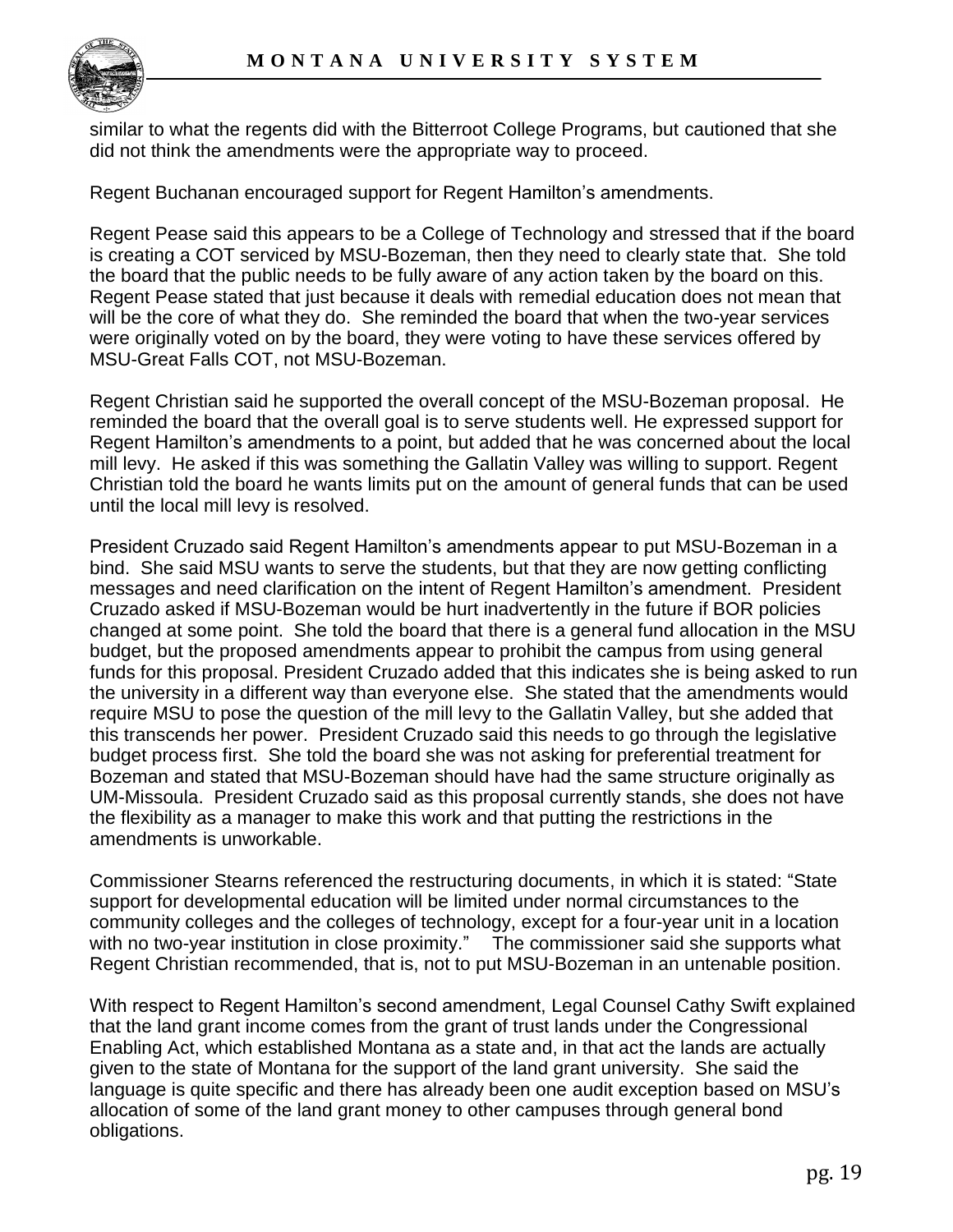similar to what the regents did with the Bitterroot College Programs, but cautioned that she did not think the amendments were the appropriate way to proceed.

Regent Buchanan encouraged support for Regent Hamilton"s amendments.

Regent Pease said this appears to be a College of Technology and stressed that if the board is creating a COT serviced by MSU-Bozeman, then they need to clearly state that. She told the board that the public needs to be fully aware of any action taken by the board on this. Regent Pease stated that just because it deals with remedial education does not mean that will be the core of what they do. She reminded the board that when the two-year services were originally voted on by the board, they were voting to have these services offered by MSU-Great Falls COT, not MSU-Bozeman.

Regent Christian said he supported the overall concept of the MSU-Bozeman proposal. He reminded the board that the overall goal is to serve students well. He expressed support for Regent Hamilton"s amendments to a point, but added that he was concerned about the local mill levy. He asked if this was something the Gallatin Valley was willing to support. Regent Christian told the board he wants limits put on the amount of general funds that can be used until the local mill levy is resolved.

President Cruzado said Regent Hamilton"s amendments appear to put MSU-Bozeman in a bind. She said MSU wants to serve the students, but that they are now getting conflicting messages and need clarification on the intent of Regent Hamilton"s amendment. President Cruzado asked if MSU-Bozeman would be hurt inadvertently in the future if BOR policies changed at some point. She told the board that there is a general fund allocation in the MSU budget, but the proposed amendments appear to prohibit the campus from using general funds for this proposal. President Cruzado added that this indicates she is being asked to run the university in a different way than everyone else. She stated that the amendments would require MSU to pose the question of the mill levy to the Gallatin Valley, but she added that this transcends her power. President Cruzado said this needs to go through the legislative budget process first. She told the board she was not asking for preferential treatment for Bozeman and stated that MSU-Bozeman should have had the same structure originally as UM-Missoula. President Cruzado said as this proposal currently stands, she does not have the flexibility as a manager to make this work and that putting the restrictions in the amendments is unworkable.

Commissioner Stearns referenced the restructuring documents, in which it is stated: "State support for developmental education will be limited under normal circumstances to the community colleges and the colleges of technology, except for a four-year unit in a location with no two-year institution in close proximity." The commissioner said she supports what Regent Christian recommended, that is, not to put MSU-Bozeman in an untenable position.

With respect to Regent Hamilton's second amendment, Legal Counsel Cathy Swift explained that the land grant income comes from the grant of trust lands under the Congressional Enabling Act, which established Montana as a state and, in that act the lands are actually given to the state of Montana for the support of the land grant university. She said the language is quite specific and there has already been one audit exception based on MSU"s allocation of some of the land grant money to other campuses through general bond obligations.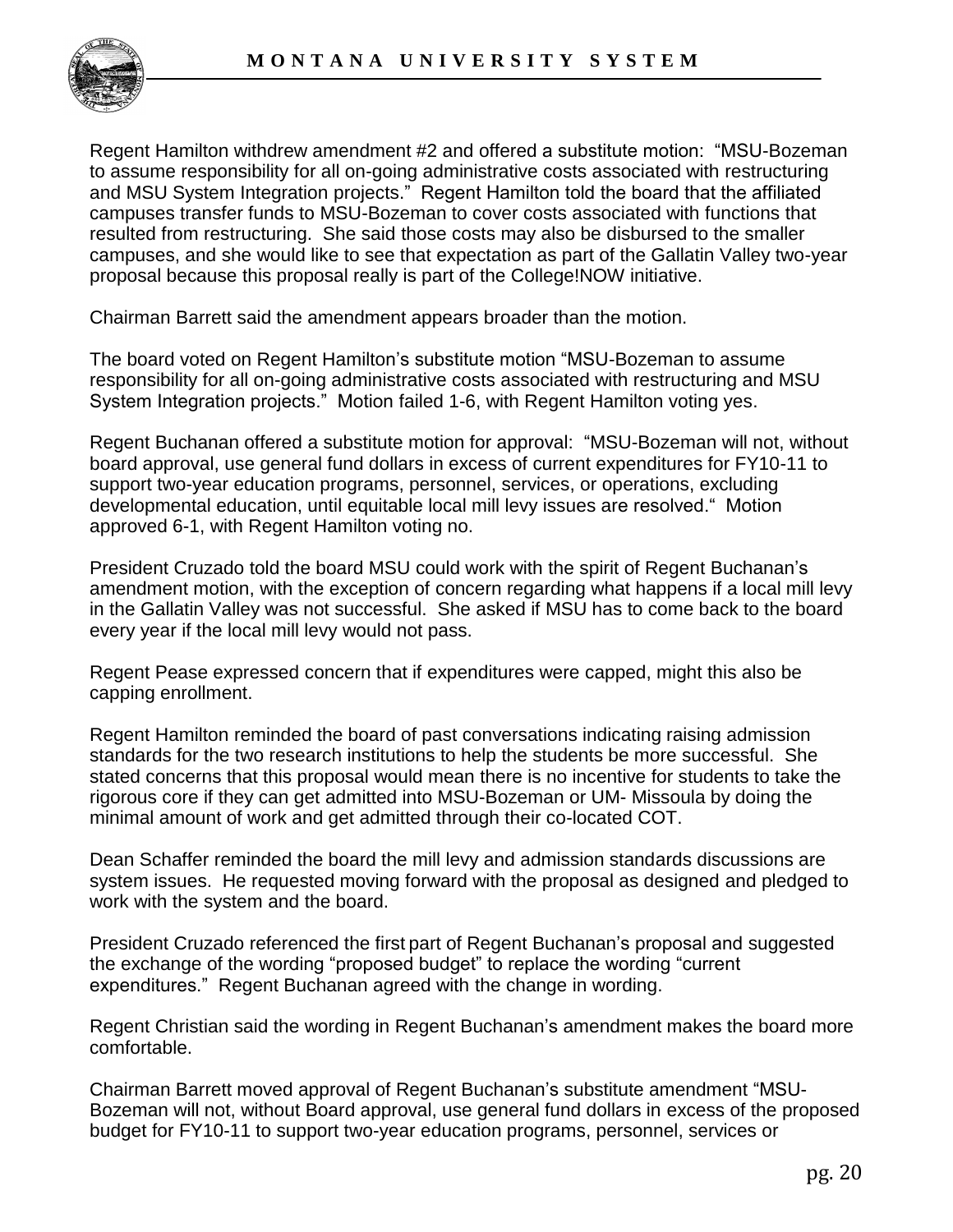

Regent Hamilton withdrew amendment #2 and offered a substitute motion: "MSU-Bozeman to assume responsibility for all on-going administrative costs associated with restructuring and MSU System Integration projects." Regent Hamilton told the board that the affiliated campuses transfer funds to MSU-Bozeman to cover costs associated with functions that resulted from restructuring. She said those costs may also be disbursed to the smaller campuses, and she would like to see that expectation as part of the Gallatin Valley two-year proposal because this proposal really is part of the College!NOW initiative.

Chairman Barrett said the amendment appears broader than the motion.

The board voted on Regent Hamilton"s substitute motion "MSU-Bozeman to assume responsibility for all on-going administrative costs associated with restructuring and MSU System Integration projects." Motion failed 1-6, with Regent Hamilton voting yes.

Regent Buchanan offered a substitute motion for approval: "MSU-Bozeman will not, without board approval, use general fund dollars in excess of current expenditures for FY10-11 to support two-year education programs, personnel, services, or operations, excluding developmental education, until equitable local mill levy issues are resolved." Motion approved 6-1, with Regent Hamilton voting no.

President Cruzado told the board MSU could work with the spirit of Regent Buchanan"s amendment motion, with the exception of concern regarding what happens if a local mill levy in the Gallatin Valley was not successful. She asked if MSU has to come back to the board every year if the local mill levy would not pass.

Regent Pease expressed concern that if expenditures were capped, might this also be capping enrollment.

Regent Hamilton reminded the board of past conversations indicating raising admission standards for the two research institutions to help the students be more successful. She stated concerns that this proposal would mean there is no incentive for students to take the rigorous core if they can get admitted into MSU-Bozeman or UM- Missoula by doing the minimal amount of work and get admitted through their co-located COT.

Dean Schaffer reminded the board the mill levy and admission standards discussions are system issues. He requested moving forward with the proposal as designed and pledged to work with the system and the board.

President Cruzado referenced the first part of Regent Buchanan"s proposal and suggested the exchange of the wording "proposed budget" to replace the wording "current expenditures." Regent Buchanan agreed with the change in wording.

Regent Christian said the wording in Regent Buchanan"s amendment makes the board more comfortable.

Chairman Barrett moved approval of Regent Buchanan"s substitute amendment "MSU-Bozeman will not, without Board approval, use general fund dollars in excess of the proposed budget for FY10-11 to support two-year education programs, personnel, services or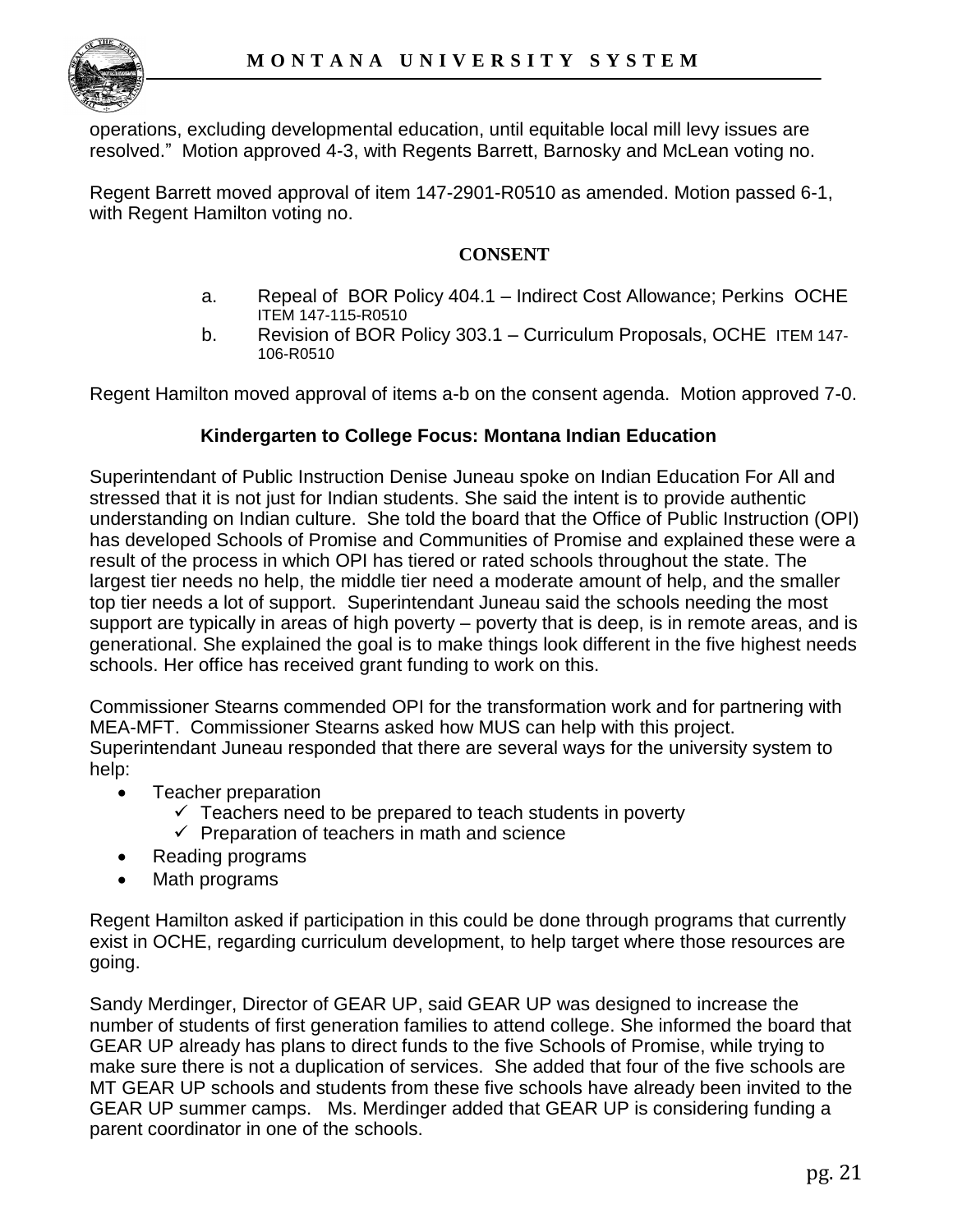

operations, excluding developmental education, until equitable local mill levy issues are resolved." Motion approved 4-3, with Regents Barrett, Barnosky and McLean voting no.

Regent Barrett moved approval of item 147-2901-R0510 as amended. Motion passed 6-1, with Regent Hamilton voting no.

#### **CONSENT**

- a. Repeal of BOR Policy 404.1 Indirect Cost Allowance; Perkins OCHE ITEM 147-115-R0510
- b. Revision of BOR Policy 303.1 Curriculum Proposals, OCHE ITEM 147- 106-R0510

Regent Hamilton moved approval of items a-b on the consent agenda. Motion approved 7-0.

#### **Kindergarten to College Focus: Montana Indian Education**

Superintendant of Public Instruction Denise Juneau spoke on Indian Education For All and stressed that it is not just for Indian students. She said the intent is to provide authentic understanding on Indian culture. She told the board that the Office of Public Instruction (OPI) has developed Schools of Promise and Communities of Promise and explained these were a result of the process in which OPI has tiered or rated schools throughout the state. The largest tier needs no help, the middle tier need a moderate amount of help, and the smaller top tier needs a lot of support. Superintendant Juneau said the schools needing the most support are typically in areas of high poverty – poverty that is deep, is in remote areas, and is generational. She explained the goal is to make things look different in the five highest needs schools. Her office has received grant funding to work on this.

Commissioner Stearns commended OPI for the transformation work and for partnering with MEA-MFT. Commissioner Stearns asked how MUS can help with this project. Superintendant Juneau responded that there are several ways for the university system to help:

- Teacher preparation
	- $\checkmark$  Teachers need to be prepared to teach students in poverty
	- $\checkmark$  Preparation of teachers in math and science
- Reading programs
- Math programs

Regent Hamilton asked if participation in this could be done through programs that currently exist in OCHE, regarding curriculum development, to help target where those resources are going.

Sandy Merdinger, Director of GEAR UP, said GEAR UP was designed to increase the number of students of first generation families to attend college. She informed the board that GEAR UP already has plans to direct funds to the five Schools of Promise, while trying to make sure there is not a duplication of services. She added that four of the five schools are MT GEAR UP schools and students from these five schools have already been invited to the GEAR UP summer camps. Ms. Merdinger added that GEAR UP is considering funding a parent coordinator in one of the schools.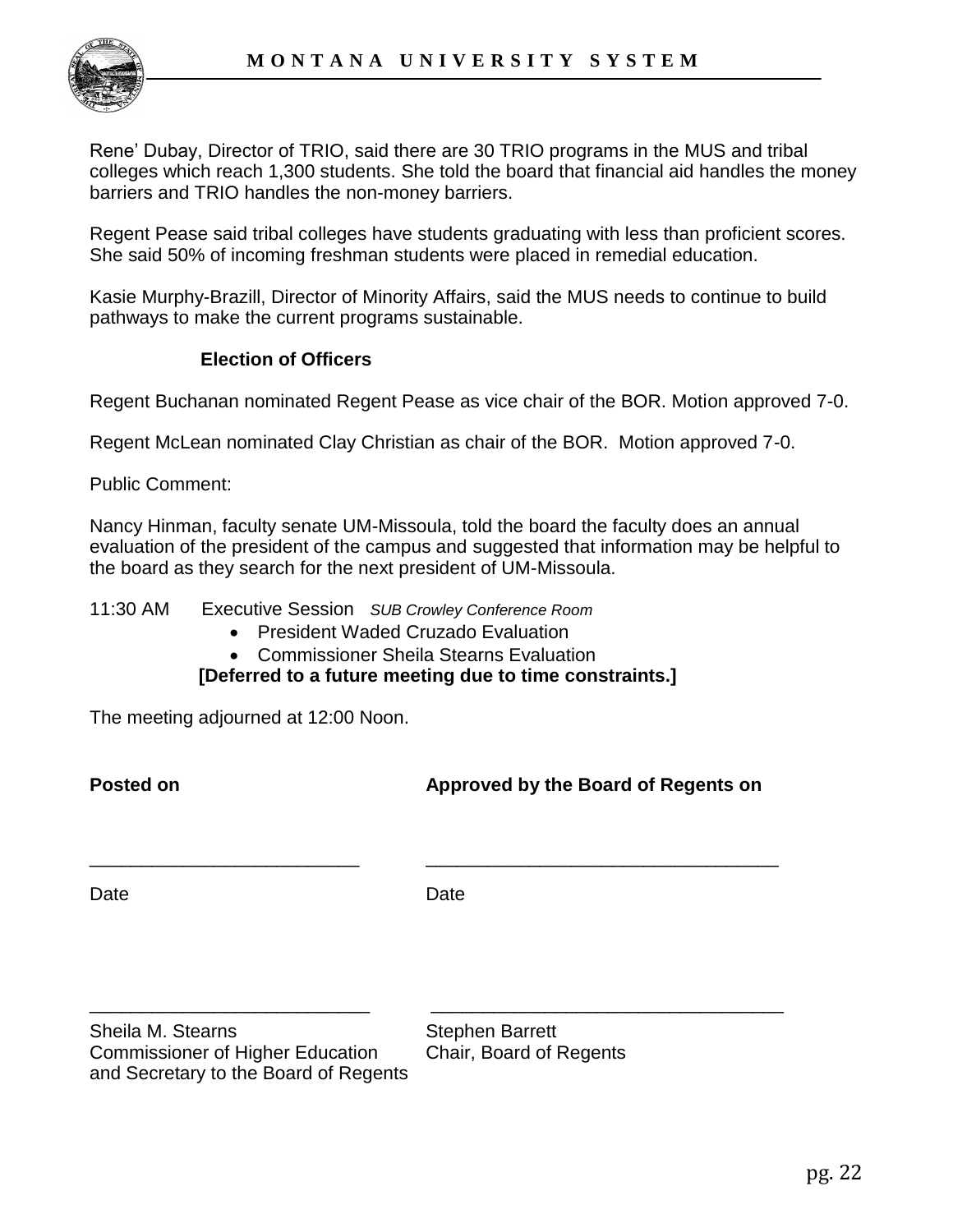

Rene" Dubay, Director of TRIO, said there are 30 TRIO programs in the MUS and tribal colleges which reach 1,300 students. She told the board that financial aid handles the money barriers and TRIO handles the non-money barriers.

Regent Pease said tribal colleges have students graduating with less than proficient scores. She said 50% of incoming freshman students were placed in remedial education.

Kasie Murphy-Brazill, Director of Minority Affairs, said the MUS needs to continue to build pathways to make the current programs sustainable.

# **Election of Officers**

Regent Buchanan nominated Regent Pease as vice chair of the BOR. Motion approved 7-0.

Regent McLean nominated Clay Christian as chair of the BOR. Motion approved 7-0.

Public Comment:

Nancy Hinman, faculty senate UM-Missoula, told the board the faculty does an annual evaluation of the president of the campus and suggested that information may be helpful to the board as they search for the next president of UM-Missoula.

11:30 AM Executive Session *SUB Crowley Conference Room*

- President Waded Cruzado Evaluation
- Commissioner Sheila Stearns Evaluation

 **[Deferred to a future meeting due to time constraints.]**

The meeting adjourned at 12:00 Noon.

**Posted on Approved by the Board of Regents on**

Date **Date** Date **Date** 

\_\_\_\_\_\_\_\_\_\_\_\_\_\_\_\_\_\_\_\_\_\_\_\_\_\_\_ \_\_\_\_\_\_\_\_\_\_\_\_\_\_\_\_\_\_\_\_\_\_\_\_\_\_\_\_\_\_\_\_\_\_

\_\_\_\_\_\_\_\_\_\_\_\_\_\_\_\_\_\_\_\_\_\_\_\_\_\_ \_\_\_\_\_\_\_\_\_\_\_\_\_\_\_\_\_\_\_\_\_\_\_\_\_\_\_\_\_\_\_\_\_\_

Sheila M. Stearns Stephen Barrett Commissioner of Higher Education Chair, Board of Regents and Secretary to the Board of Regents